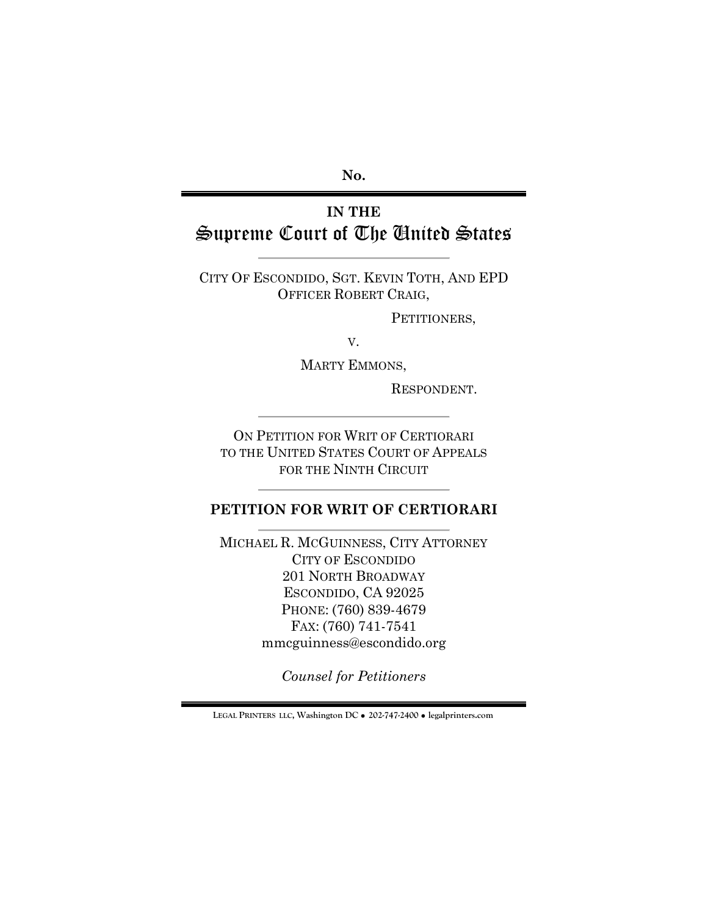**No.**

# **IN THE** Supreme Court of The United States

CITY OF ESCONDIDO, SGT. KEVIN TOTH, AND EPD OFFICER ROBERT CRAIG,

PETITIONERS,

V.

MARTY EMMONS,

RESPONDENT.

ON PETITION FOR WRIT OF CERTIORARI TO THE UNITED STATES COURT OF APPEALS FOR THE NINTH CIRCUIT

## **PETITION FOR WRIT OF CERTIORARI**

MICHAEL R. MCGUINNESS, CITY ATTORNEY CITY OF ESCONDIDO 201 NORTH BROADWAY ESCONDIDO, CA 92025 PHONE: (760) 839-4679 FAX: (760) 741-7541 mmcguinness@escondido.org

*Counsel for Petitioners*

**LEGAL PRINTERS LLC, Washington DC** ! **202-747-2400** ! **legalprinters.com**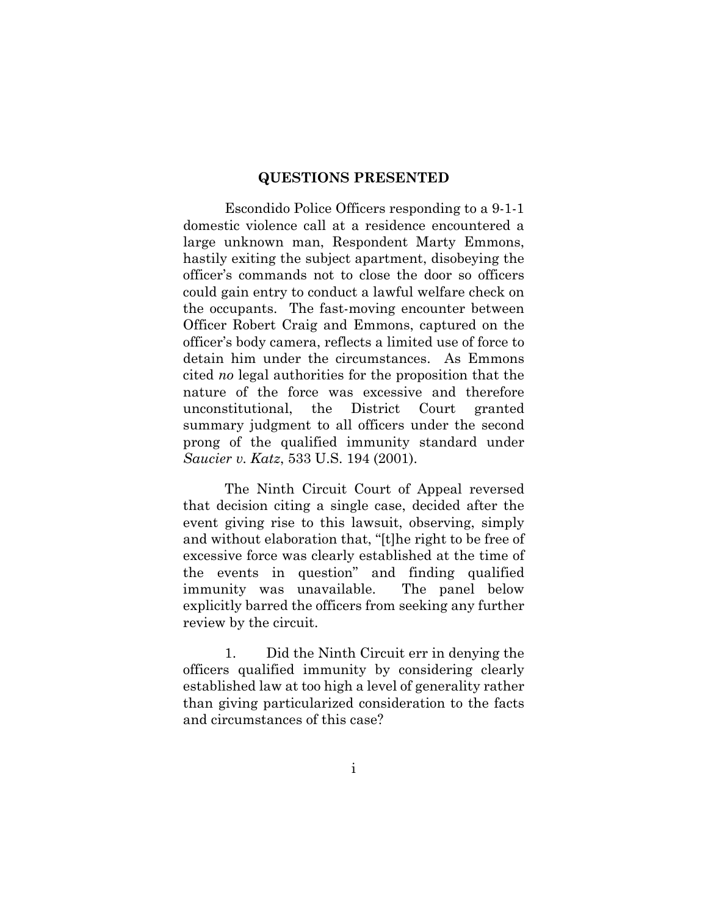## **QUESTIONS PRESENTED**

Escondido Police Officers responding to a 9-1-1 domestic violence call at a residence encountered a large unknown man, Respondent Marty Emmons, hastily exiting the subject apartment, disobeying the officer's commands not to close the door so officers could gain entry to conduct a lawful welfare check on the occupants. The fast-moving encounter between Officer Robert Craig and Emmons, captured on the officer's body camera, reflects a limited use of force to detain him under the circumstances. As Emmons cited *no* legal authorities for the proposition that the nature of the force was excessive and therefore unconstitutional, the District Court granted summary judgment to all officers under the second prong of the qualified immunity standard under *Saucier v. Katz*, 533 U.S. 194 (2001).

The Ninth Circuit Court of Appeal reversed that decision citing a single case, decided after the event giving rise to this lawsuit, observing, simply and without elaboration that, "[t]he right to be free of excessive force was clearly established at the time of the events in question" and finding qualified immunity was unavailable. The panel below explicitly barred the officers from seeking any further review by the circuit.

1. Did the Ninth Circuit err in denying the officers qualified immunity by considering clearly established law at too high a level of generality rather than giving particularized consideration to the facts and circumstances of this case?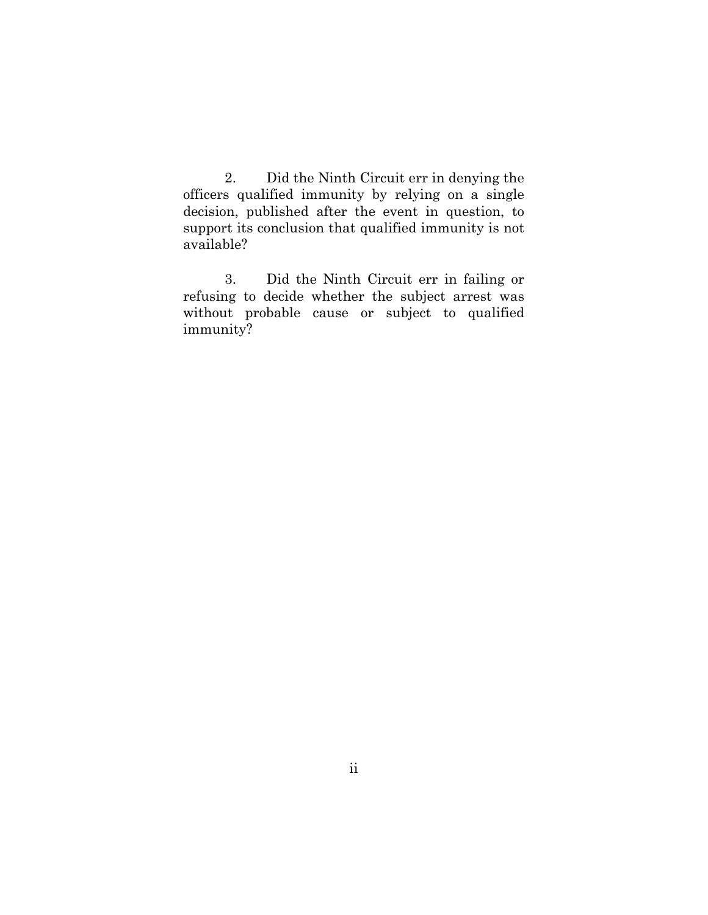2. Did the Ninth Circuit err in denying the officers qualified immunity by relying on a single decision, published after the event in question, to support its conclusion that qualified immunity is not available?

3. Did the Ninth Circuit err in failing or refusing to decide whether the subject arrest was without probable cause or subject to qualified immunity?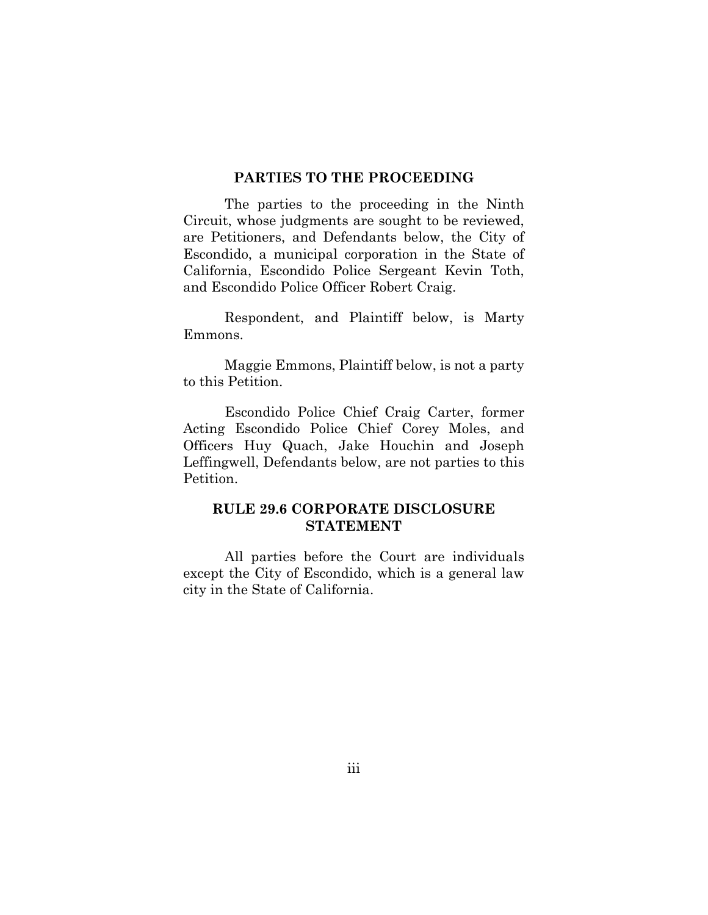#### **PARTIES TO THE PROCEEDING**

The parties to the proceeding in the Ninth Circuit, whose judgments are sought to be reviewed, are Petitioners, and Defendants below, the City of Escondido, a municipal corporation in the State of California, Escondido Police Sergeant Kevin Toth, and Escondido Police Officer Robert Craig.

Respondent, and Plaintiff below, is Marty Emmons.

Maggie Emmons, Plaintiff below, is not a party to this Petition.

Escondido Police Chief Craig Carter, former Acting Escondido Police Chief Corey Moles, and Officers Huy Quach, Jake Houchin and Joseph Leffingwell, Defendants below, are not parties to this Petition.

## **RULE 29.6 CORPORATE DISCLOSURE STATEMENT**

All parties before the Court are individuals except the City of Escondido, which is a general law city in the State of California.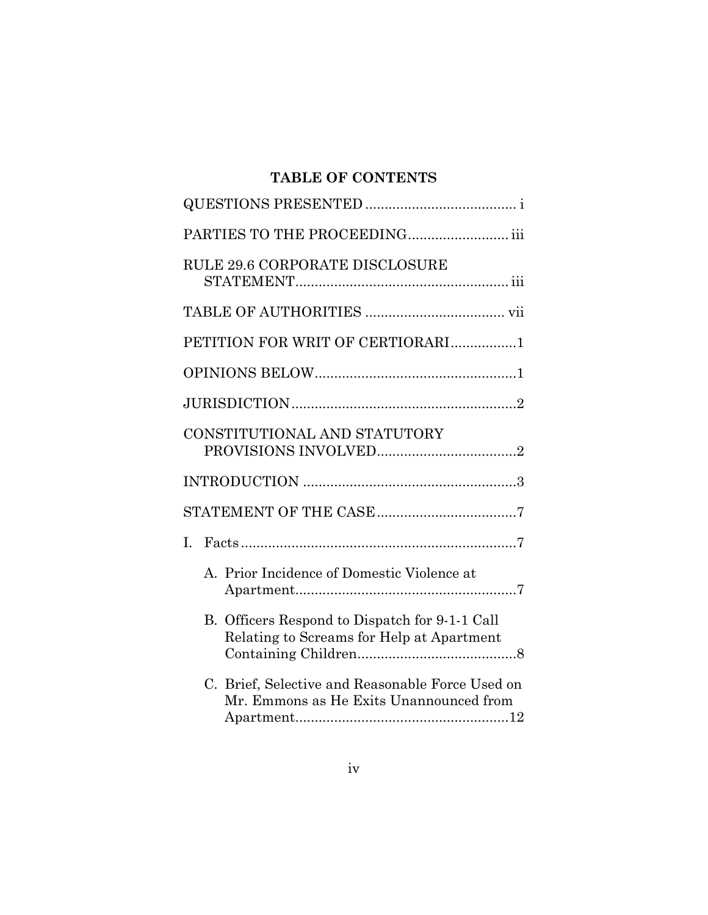# **TABLE OF CONTENTS**

| PARTIES TO THE PROCEEDING iii                                                               |
|---------------------------------------------------------------------------------------------|
| RULE 29.6 CORPORATE DISCLOSURE                                                              |
|                                                                                             |
| PETITION FOR WRIT OF CERTIORARI1                                                            |
|                                                                                             |
|                                                                                             |
| CONSTITUTIONAL AND STATUTORY                                                                |
|                                                                                             |
|                                                                                             |
| L                                                                                           |
| A. Prior Incidence of Domestic Violence at                                                  |
| B. Officers Respond to Dispatch for 9-1-1 Call<br>Relating to Screams for Help at Apartment |
| C. Brief, Selective and Reasonable Force Used on<br>Mr. Emmons as He Exits Unannounced from |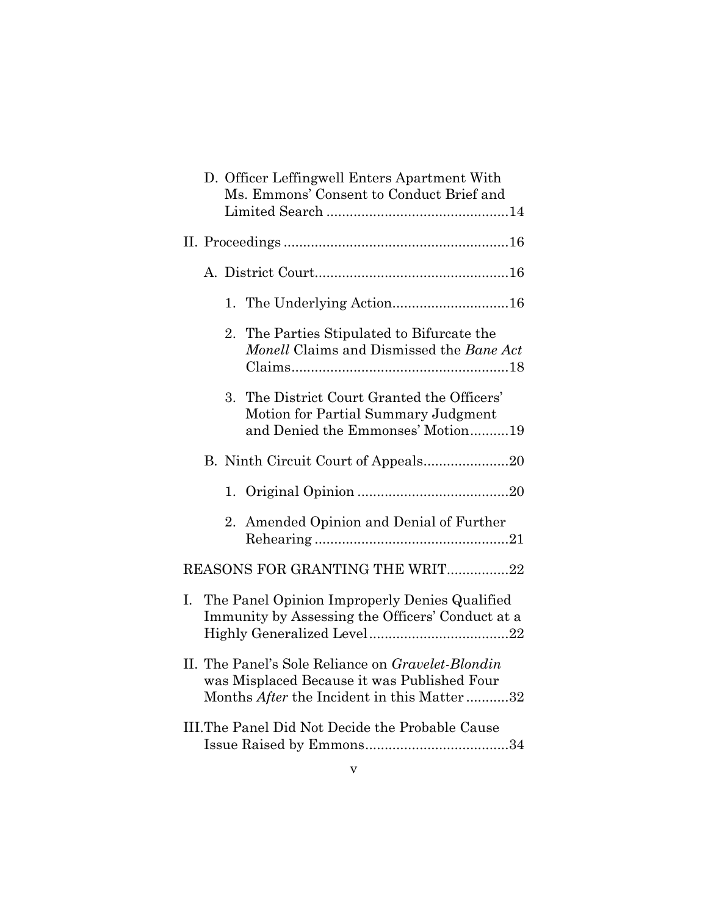|                                                 |                                                                                                                                                 | D. Officer Leffingwell Enters Apartment With<br>Ms. Emmons' Consent to Conduct Brief and |                                                                                                                      |  |  |
|-------------------------------------------------|-------------------------------------------------------------------------------------------------------------------------------------------------|------------------------------------------------------------------------------------------|----------------------------------------------------------------------------------------------------------------------|--|--|
|                                                 |                                                                                                                                                 |                                                                                          |                                                                                                                      |  |  |
|                                                 |                                                                                                                                                 |                                                                                          |                                                                                                                      |  |  |
|                                                 |                                                                                                                                                 |                                                                                          | 1. The Underlying Action16                                                                                           |  |  |
|                                                 |                                                                                                                                                 | 2.                                                                                       | The Parties Stipulated to Bifurcate the<br>Monell Claims and Dismissed the Bane Act                                  |  |  |
|                                                 |                                                                                                                                                 | 3.                                                                                       | The District Court Granted the Officers'<br>Motion for Partial Summary Judgment<br>and Denied the Emmonses' Motion19 |  |  |
|                                                 |                                                                                                                                                 |                                                                                          |                                                                                                                      |  |  |
|                                                 |                                                                                                                                                 |                                                                                          |                                                                                                                      |  |  |
|                                                 |                                                                                                                                                 | 2.                                                                                       | Amended Opinion and Denial of Further                                                                                |  |  |
| REASONS FOR GRANTING THE WRIT22                 |                                                                                                                                                 |                                                                                          |                                                                                                                      |  |  |
| I.                                              | The Panel Opinion Improperly Denies Qualified<br>Immunity by Assessing the Officers' Conduct at a                                               |                                                                                          |                                                                                                                      |  |  |
|                                                 | II. The Panel's Sole Reliance on Gravelet-Blondin<br>was Misplaced Because it was Published Four<br>Months After the Incident in this Matter 32 |                                                                                          |                                                                                                                      |  |  |
| III.The Panel Did Not Decide the Probable Cause |                                                                                                                                                 |                                                                                          |                                                                                                                      |  |  |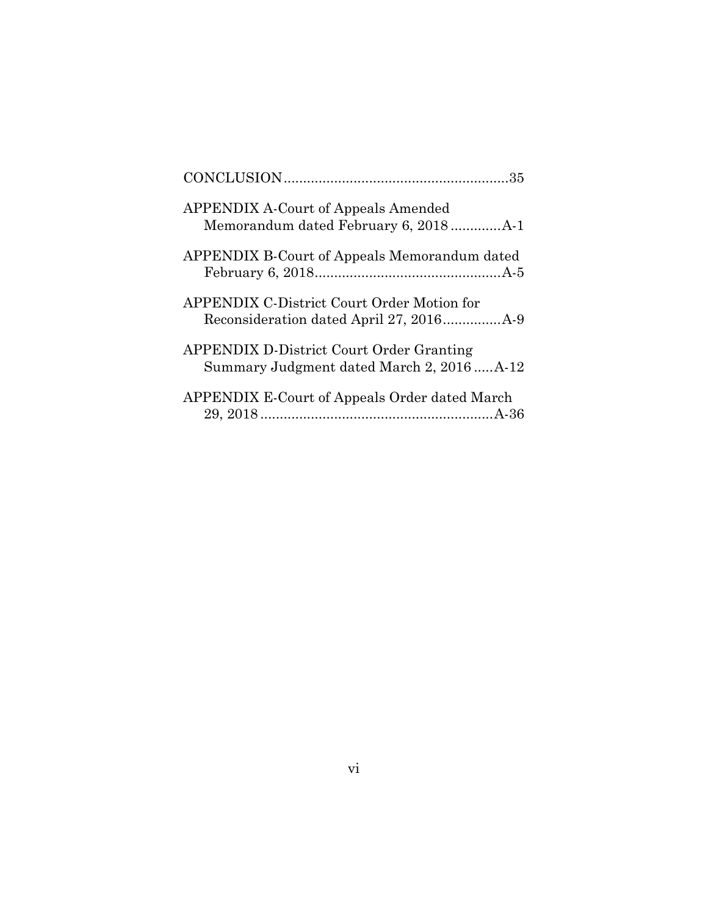| <b>APPENDIX A-Court of Appeals Amended</b>                                                  |  |
|---------------------------------------------------------------------------------------------|--|
| <b>APPENDIX B-Court of Appeals Memorandum dated</b>                                         |  |
| <b>APPENDIX C-District Court Order Motion for</b>                                           |  |
| <b>APPENDIX D-District Court Order Granting</b><br>Summary Judgment dated March 2, 2016A-12 |  |
| <b>APPENDIX E-Court of Appeals Order dated March</b>                                        |  |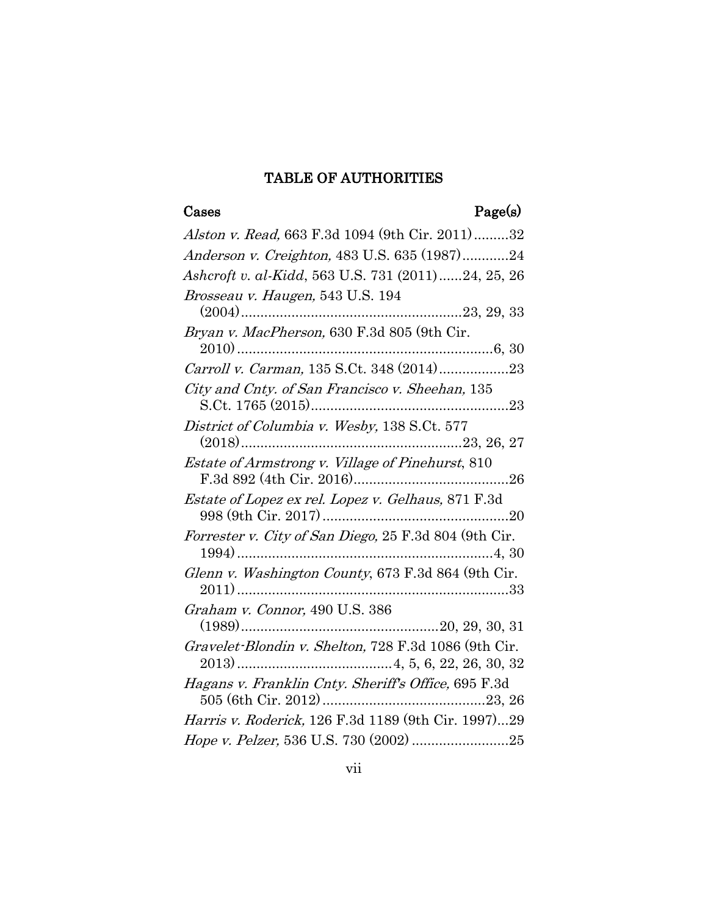## TABLE OF AUTHORITIES

# Cases Page(s)

| Alston v. Read, 663 F.3d 1094 (9th Cir. 2011)32                                |
|--------------------------------------------------------------------------------|
| Anderson v. Creighton, 483 U.S. 635 (1987)24                                   |
| Ashcroft v. al-Kidd, 563 U.S. 731 (2011)24, 25, 26                             |
| Brosseau v. Haugen, 543 U.S. 194                                               |
| Bryan v. MacPherson, 630 F.3d 805 (9th Cir.                                    |
| 2010)<br>Carroll v. Carman, 135 S.Ct. 348 (2014)<br>23                         |
| City and Cnty. of San Francisco v. Sheehan, 135                                |
| District of Columbia v. Wesby, 138 S.Ct. 577                                   |
| Estate of Armstrong v. Village of Pinehurst, 810                               |
| Estate of Lopez ex rel. Lopez v. Gelhaus, 871 F.3d                             |
| $\emph{Forrester v. City of San Diego, 25 F.3d 804 (9th Cir.} \\ 1994) \ldots$ |
| Glenn v. Washington County, 673 F.3d 864 (9th Cir.                             |
| Graham v. Connor, 490 U.S. 386                                                 |
| Gravelet-Blondin v. Shelton, 728 F.3d 1086 (9th Cir.                           |
| Hagans v. Franklin Cnty. Sheriff's Office, 695 F.3d                            |
| Harris v. Roderick, 126 F.3d 1189 (9th Cir. 1997)29                            |
| Hope v. Pelzer, 536 U.S. 730 (2002) 25                                         |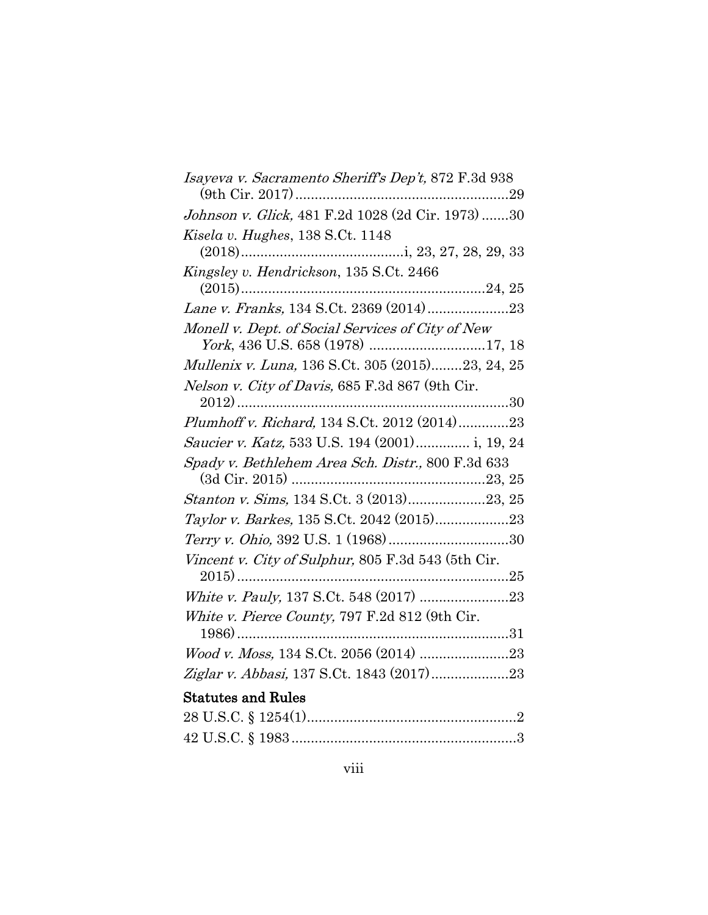| <i>Isayeva v. Sacramento Sheriff's Dep't,</i> 872 F.3d 938 |  |
|------------------------------------------------------------|--|
| Johnson v. Glick, 481 F.2d 1028 (2d Cir. 1973) 30          |  |
| Kisela v. Hughes, 138 S.Ct. 1148                           |  |
|                                                            |  |
| Kingsley v. Hendrickson, 135 S.Ct. 2466                    |  |
|                                                            |  |
|                                                            |  |
| Monell v. Dept. of Social Services of City of New          |  |
| York, 436 U.S. 658 (1978) 17, 18                           |  |
| Mullenix v. Luna, 136 S.Ct. 305 (2015)23, 24, 25           |  |
| Nelson v. City of Davis, 685 F.3d 867 (9th Cir.            |  |
|                                                            |  |
| Plumhoff v. Richard, 134 S.Ct. 2012 (2014)23               |  |
| Saucier v. Katz, 533 U.S. 194 (2001) i, 19, 24             |  |
| Spady v. Bethlehem Area Sch. Distr., 800 F.3d 633          |  |
|                                                            |  |
| Stanton v. Sims, 134 S.Ct. 3 (2013)23, 25                  |  |
| Taylor v. Barkes, 135 S.Ct. 2042 (2015)23                  |  |
|                                                            |  |
| Vincent v. City of Sulphur, 805 F.3d 543 (5th Cir.         |  |
|                                                            |  |
|                                                            |  |
| White v. Pierce County, 797 F.2d 812 (9th Cir.             |  |
|                                                            |  |
|                                                            |  |
|                                                            |  |
| <b>Statutes and Rules</b>                                  |  |
|                                                            |  |
|                                                            |  |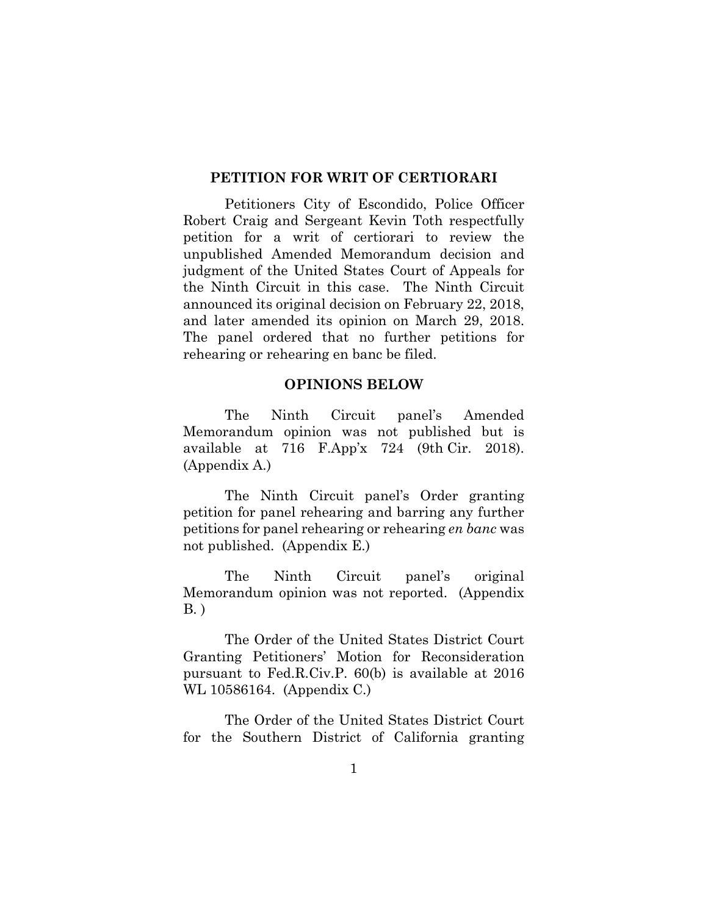#### **PETITION FOR WRIT OF CERTIORARI**

Petitioners City of Escondido, Police Officer Robert Craig and Sergeant Kevin Toth respectfully petition for a writ of certiorari to review the unpublished Amended Memorandum decision and judgment of the United States Court of Appeals for the Ninth Circuit in this case. The Ninth Circuit announced its original decision on February 22, 2018, and later amended its opinion on March 29, 2018. The panel ordered that no further petitions for rehearing or rehearing en banc be filed.

#### **OPINIONS BELOW**

The Ninth Circuit panel's Amended Memorandum opinion was not published but is available at 716 F.App'x 724 (9th Cir. 2018). (Appendix A.)

The Ninth Circuit panel's Order granting petition for panel rehearing and barring any further petitions for panel rehearing or rehearing *en banc* was not published. (Appendix E.)

The Ninth Circuit panel's original Memorandum opinion was not reported. (Appendix B. )

The Order of the United States District Court Granting Petitioners' Motion for Reconsideration pursuant to Fed.R.Civ.P. 60(b) is available at 2016 WL 10586164. (Appendix C.)

The Order of the United States District Court for the Southern District of California granting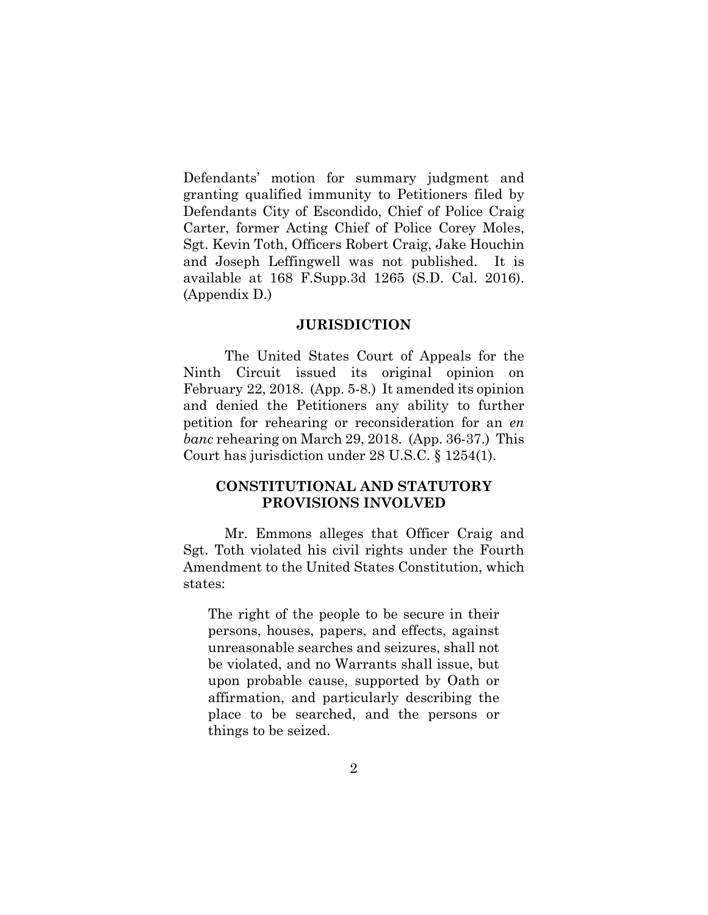Defendants' motion for summary judgment and granting qualified immunity to Petitioners filed by Defendants City of Escondido, Chief of Police Craig Carter, former Acting Chief of Police Corey Moles, Sgt. Kevin Toth, Officers Robert Craig, Jake Houchin and Joseph Leffingwell was not published. It is available at 168 F.Supp.3d 1265 (S.D. Cal. 2016). (Appendix D.)

#### **JURISDICTION**

The United States Court of Appeals for the Ninth Circuit issued its original opinion on February 22, 2018. (App. 5-8.) It amended its opinion and denied the Petitioners any ability to further petition for rehearing or reconsideration for an *en banc* rehearing on March 29, 2018. (App. 36-37.) This Court has jurisdiction under 28 [U.S.C. § 1254\(1\).](http://www.westlaw.com/Link/Document/FullText?findType=L&pubNum=1000546&cite=28USCAS1254&originatingDoc=Ic64a590649c311e6b4bafa136b480ad2&refType=RB&originationContext=document&vr=3.0&rs=cblt1.0&transitionType=DocumentItem&contextData=(sc.RelatedInfo)#co_pp_f1c50000821b0)

## **CONSTITUTIONAL AND STATUTORY PROVISIONS INVOLVED**

Mr. Emmons alleges that Officer Craig and Sgt. Toth violated his civil rights under the Fourth Amendment to the United States Constitution, which states:

The right of the people to be secure in their persons, houses, papers, and effects, against unreasonable searches and seizures, shall not be violated, and no Warrants shall issue, but upon probable cause, supported by Oath or affirmation, and particularly describing the place to be searched, and the persons or things to be seized.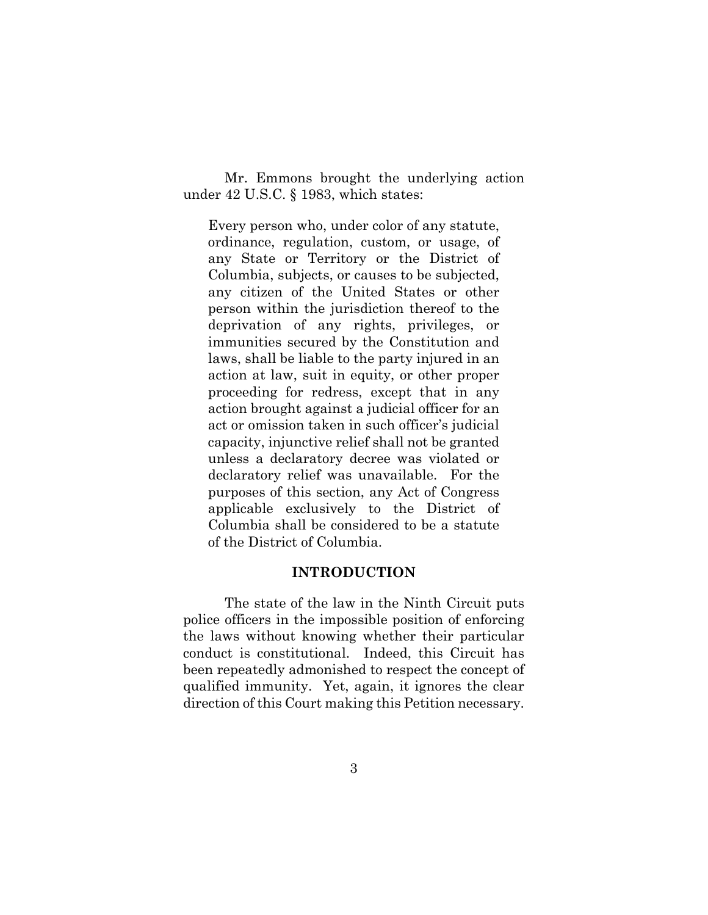Mr. Emmons brought the underlying action under [42 U.S.C. § 1983,](http://www.westlaw.com/Link/Document/FullText?findType=L&pubNum=1000546&cite=42USCAS1983&originatingDoc=Ic64a590649c311e6b4bafa136b480ad2&refType=LQ&originationContext=document&vr=3.0&rs=cblt1.0&transitionType=DocumentItem&contextData=(sc.RelatedInfo)) which states:

Every person who, under color of any statute, ordinance, regulation, custom, or usage, of any State or Territory or the District of Columbia, subjects, or causes to be subjected, any citizen of the United States or other person within the jurisdiction thereof to the deprivation of any rights, privileges, or immunities secured by the Constitution and laws, shall be liable to the party injured in an action at law, suit in equity, or other proper proceeding for redress, except that in any action brought against a judicial officer for an act or omission taken in such officer's judicial capacity, injunctive relief shall not be granted unless a declaratory decree was violated or declaratory relief was unavailable. For the purposes of this section, any Act of Congress applicable exclusively to the District of Columbia shall be considered to be a statute of the District of Columbia.

#### **INTRODUCTION**

The state of the law in the Ninth Circuit puts police officers in the impossible position of enforcing the laws without knowing whether their particular conduct is constitutional. Indeed, this Circuit has been repeatedly admonished to respect the concept of qualified immunity. Yet, again, it ignores the clear direction of this Court making this Petition necessary.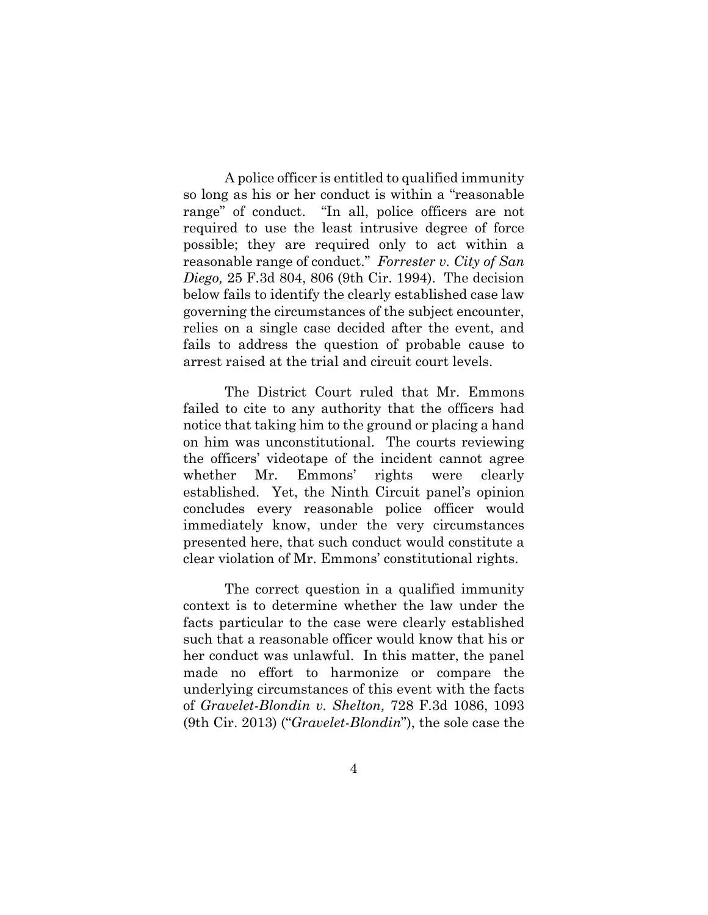A police officer is entitled to qualified immunity so long as his or her conduct is within a "reasonable range" of conduct. "In all, police officers are not required to use the least intrusive degree of force possible; they are required only to act within a reasonable range of conduct." *Forrester v. City of San Diego,* 25 F.3d 804, 806 (9th Cir. 1994). The decision below fails to identify the clearly established case law governing the circumstances of the subject encounter, relies on a single case decided after the event, and fails to address the question of probable cause to arrest raised at the trial and circuit court levels.

The District Court ruled that Mr. Emmons failed to cite to any authority that the officers had notice that taking him to the ground or placing a hand on him was unconstitutional. The courts reviewing the officers' videotape of the incident cannot agree whether Mr. Emmons' rights were clearly established. Yet, the Ninth Circuit panel's opinion concludes every reasonable police officer would immediately know, under the very circumstances presented here, that such conduct would constitute a clear violation of Mr. Emmons' constitutional rights.

The correct question in a qualified immunity context is to determine whether the law under the facts particular to the case were clearly established such that a reasonable officer would know that his or her conduct was unlawful. In this matter, the panel made no effort to harmonize or compare the underlying circumstances of this event with the facts of *Gravelet-Blondin v. Shelton,* 728 F.3d 1086, 1093 (9th Cir. 2013) ("*Gravelet-Blondin*"), the sole case the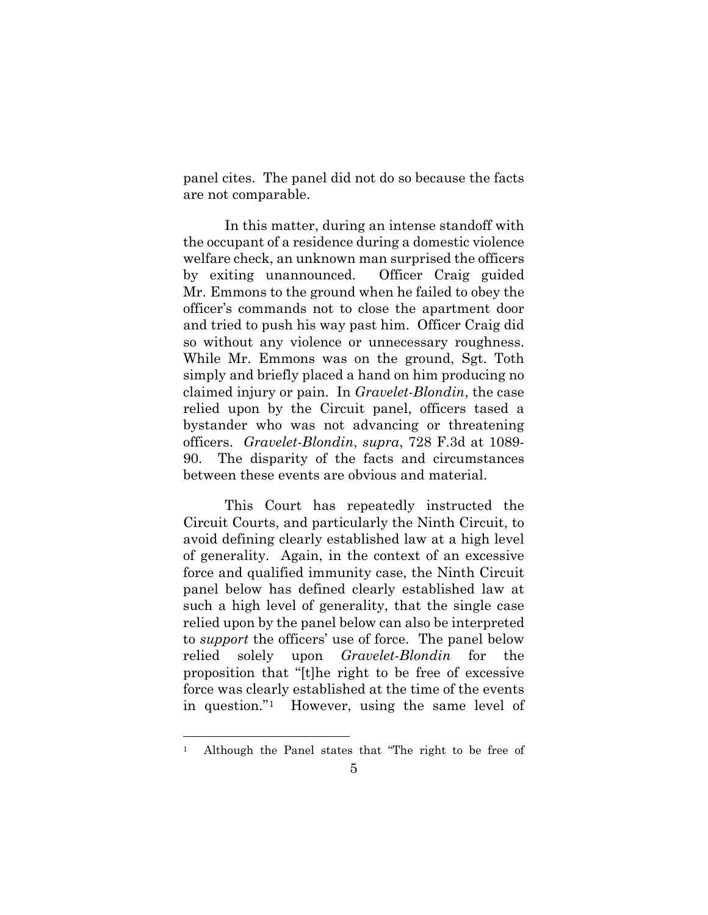panel cites. The panel did not do so because the facts are not comparable.

In this matter, during an intense standoff with the occupant of a residence during a domestic violence welfare check, an unknown man surprised the officers by exiting unannounced. Officer Craig guided Mr. Emmons to the ground when he failed to obey the officer's commands not to close the apartment door and tried to push his way past him. Officer Craig did so without any violence or unnecessary roughness. While Mr. Emmons was on the ground, Sgt. Toth simply and briefly placed a hand on him producing no claimed injury or pain. In *Gravelet-Blondin*, the case relied upon by the Circuit panel, officers tased a bystander who was not advancing or threatening officers. *Gravelet-Blondin*, *supra*, 728 F.3d at 1089- 90. The disparity of the facts and circumstances between these events are obvious and material.

This Court has repeatedly instructed the Circuit Courts, and particularly the Ninth Circuit, to avoid defining clearly established law at a high level of generality. Again, in the context of an excessive force and qualified immunity case, the Ninth Circuit panel below has defined clearly established law at such a high level of generality, that the single case relied upon by the panel below can also be interpreted to *support* the officers' use of force. The panel below relied solely upon *Gravelet-Blondin* for the proposition that "[t]he right to be free of excessive force was clearly established at the time of the events in question."[1](#page-14-0) However, using the same level of

<span id="page-14-0"></span> <sup>1</sup> Although the Panel states that "The right to be free of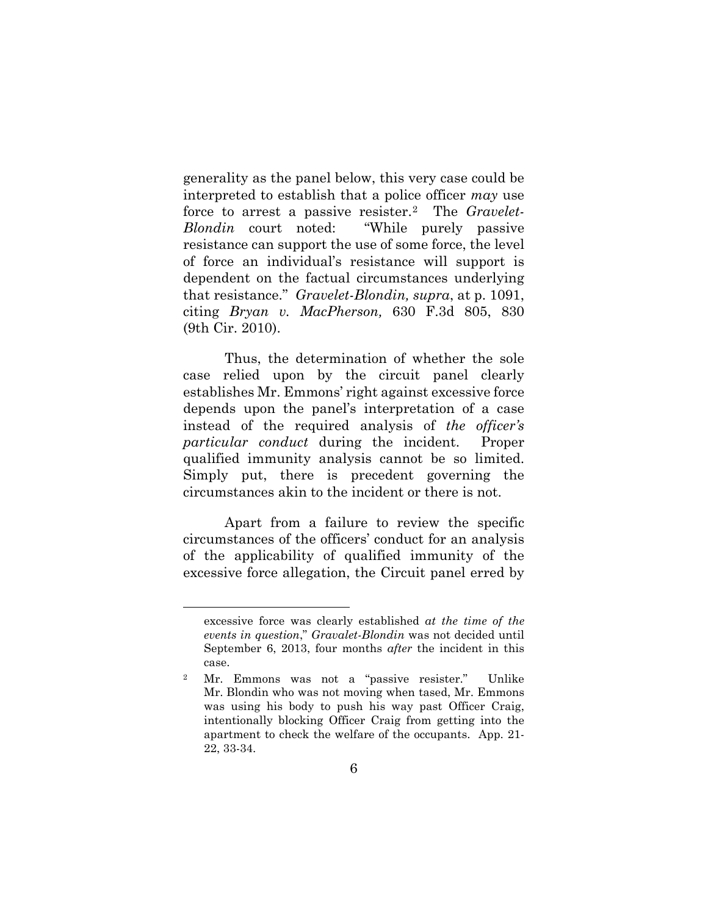generality as the panel below, this very case could be interpreted to establish that a police officer *may* use force to arrest a passive resister.[2](#page-15-0) The *Gravelet-Blondin* court noted: "While purely passive resistance can support the use of some force, the level of force an individual's resistance will support is dependent on the factual circumstances underlying that resistance." *Gravelet-Blondin, supra*, at p. 1091, citing *Bryan v. MacPherson,* 630 F.3d 805, 830 (9th Cir. 2010).

Thus, the determination of whether the sole case relied upon by the circuit panel clearly establishes Mr. Emmons' right against excessive force depends upon the panel's interpretation of a case instead of the required analysis of *the officer's particular conduct* during the incident. Proper qualified immunity analysis cannot be so limited. Simply put, there is precedent governing the circumstances akin to the incident or there is not.

Apart from a failure to review the specific circumstances of the officers' conduct for an analysis of the applicability of qualified immunity of the excessive force allegation, the Circuit panel erred by

 $\overline{a}$ 

excessive force was clearly established *at the time of the events in question*," *Gravalet-Blondin* was not decided until September 6, 2013, four months *after* the incident in this case.

<span id="page-15-0"></span><sup>2</sup> Mr. Emmons was not a "passive resister." Unlike Mr. Blondin who was not moving when tased, Mr. Emmons was using his body to push his way past Officer Craig, intentionally blocking Officer Craig from getting into the apartment to check the welfare of the occupants. App. 21- 22, 33-34.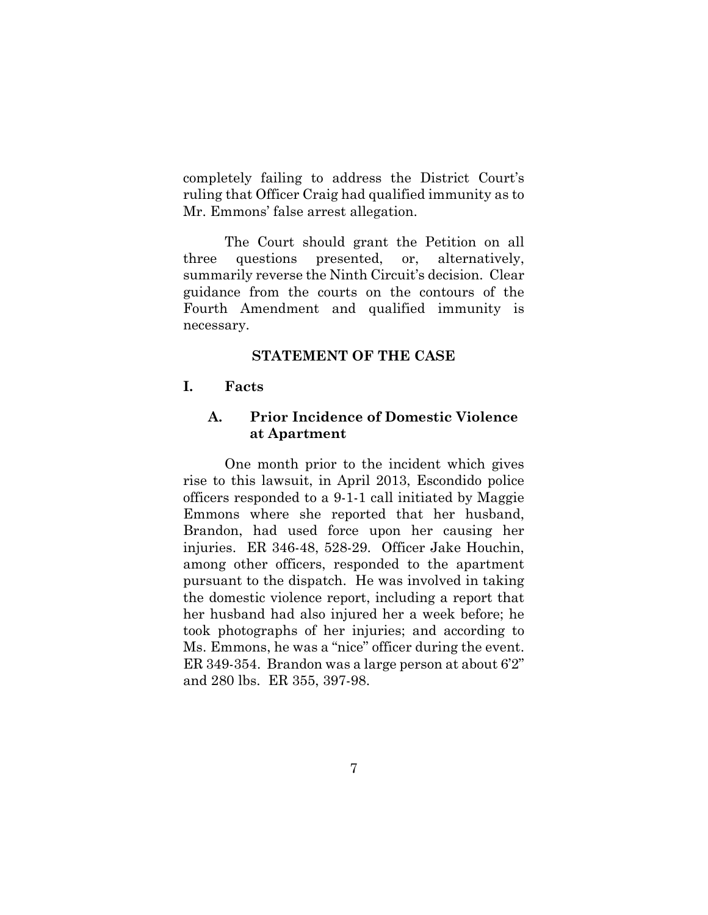completely failing to address the District Court's ruling that Officer Craig had qualified immunity as to Mr. Emmons' false arrest allegation.

The Court should grant the Petition on all three questions presented, or, alternatively, summarily reverse the Ninth Circuit's decision. Clear guidance from the courts on the contours of the Fourth Amendment and qualified immunity is necessary.

#### **STATEMENT OF THE CASE**

## **I. Facts**

## **A. Prior Incidence of Domestic Violence at Apartment**

One month prior to the incident which gives rise to this lawsuit, in April 2013, Escondido police officers responded to a 9-1-1 call initiated by Maggie Emmons where she reported that her husband, Brandon, had used force upon her causing her injuries. ER 346-48, 528-29. Officer Jake Houchin, among other officers, responded to the apartment pursuant to the dispatch. He was involved in taking the domestic violence report, including a report that her husband had also injured her a week before; he took photographs of her injuries; and according to Ms. Emmons, he was a "nice" officer during the event. ER 349-354. Brandon was a large person at about 6'2" and 280 lbs. ER 355, 397-98.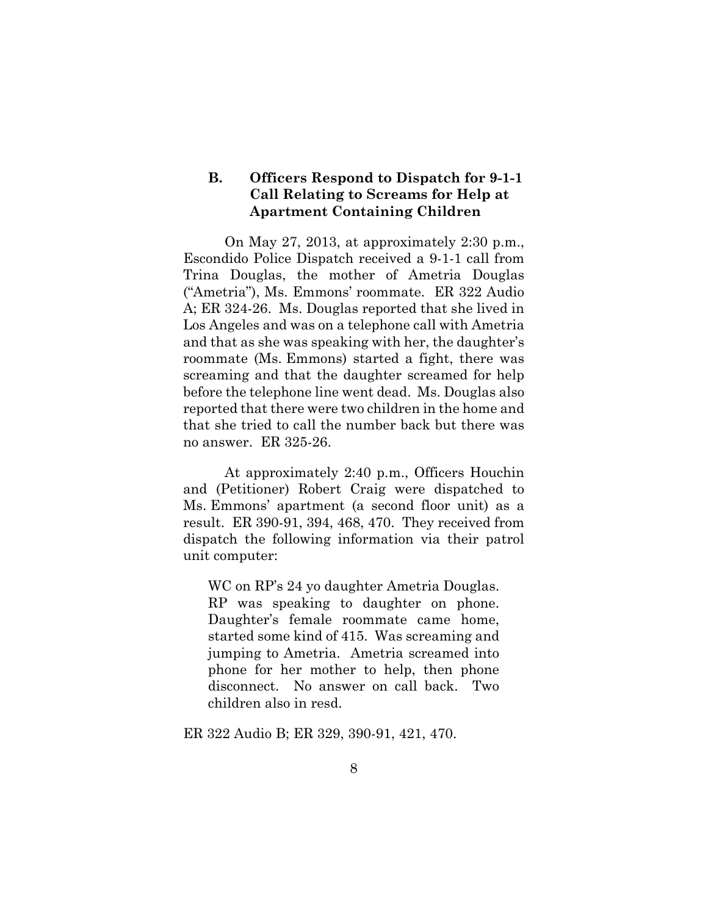## **B. Officers Respond to Dispatch for 9-1-1 Call Relating to Screams for Help at Apartment Containing Children**

On May 27, 2013, at approximately 2:30 p.m., Escondido Police Dispatch received a 9-1-1 call from Trina Douglas, the mother of Ametria Douglas ("Ametria"), Ms. Emmons' roommate. ER 322 Audio A; ER 324-26. Ms. Douglas reported that she lived in Los Angeles and was on a telephone call with Ametria and that as she was speaking with her, the daughter's roommate (Ms. Emmons) started a fight, there was screaming and that the daughter screamed for help before the telephone line went dead. Ms. Douglas also reported that there were two children in the home and that she tried to call the number back but there was no answer. ER 325-26.

At approximately 2:40 p.m., Officers Houchin and (Petitioner) Robert Craig were dispatched to Ms. Emmons' apartment (a second floor unit) as a result. ER 390-91, 394, 468, 470. They received from dispatch the following information via their patrol unit computer:

WC on RP's 24 yo daughter Ametria Douglas. RP was speaking to daughter on phone. Daughter's female roommate came home, started some kind of 415. Was screaming and jumping to Ametria. Ametria screamed into phone for her mother to help, then phone disconnect. No answer on call back. Two children also in resd.

ER 322 Audio B; ER 329, 390-91, 421, 470.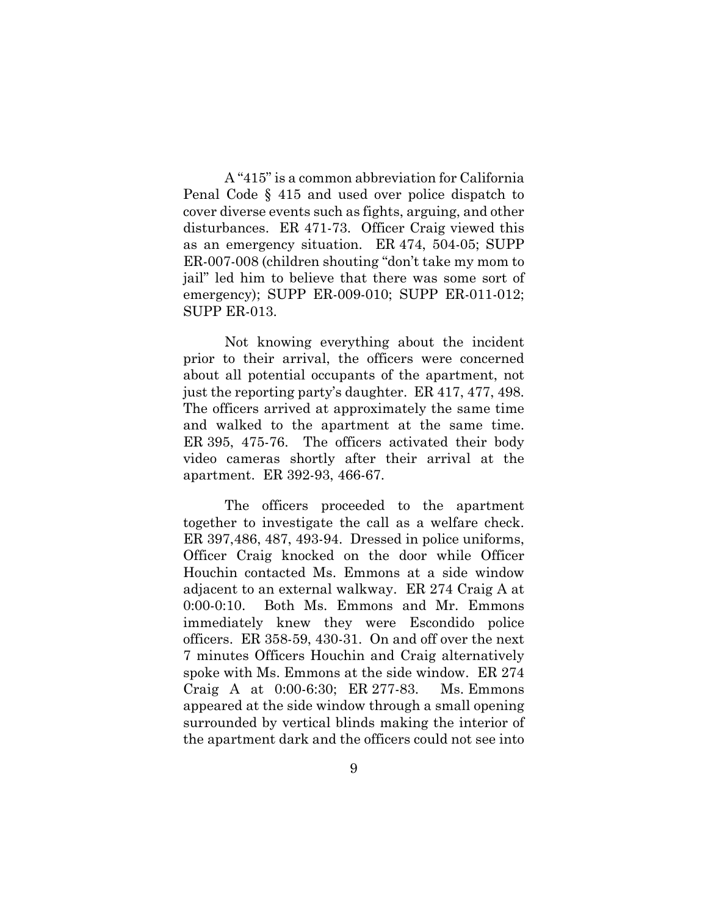A "415" is a common abbreviation for California Penal Code § 415 and used over police dispatch to cover diverse events such as fights, arguing, and other disturbances. ER 471-73. Officer Craig viewed this as an emergency situation. ER 474, 504-05; SUPP ER-007-008 (children shouting "don't take my mom to jail" led him to believe that there was some sort of emergency); SUPP ER-009-010; SUPP ER-011-012; SUPP ER-013.

Not knowing everything about the incident prior to their arrival, the officers were concerned about all potential occupants of the apartment, not just the reporting party's daughter. ER 417, 477, 498. The officers arrived at approximately the same time and walked to the apartment at the same time. ER 395, 475-76. The officers activated their body video cameras shortly after their arrival at the apartment. ER 392-93, 466-67.

The officers proceeded to the apartment together to investigate the call as a welfare check. ER 397,486, 487, 493-94. Dressed in police uniforms, Officer Craig knocked on the door while Officer Houchin contacted Ms. Emmons at a side window adjacent to an external walkway. ER 274 Craig A at 0:00-0:10. Both Ms. Emmons and Mr. Emmons immediately knew they were Escondido police officers. ER 358-59, 430-31. On and off over the next 7 minutes Officers Houchin and Craig alternatively spoke with Ms. Emmons at the side window. ER 274 Craig A at 0:00-6:30; ER 277-83. Ms. Emmons appeared at the side window through a small opening surrounded by vertical blinds making the interior of the apartment dark and the officers could not see into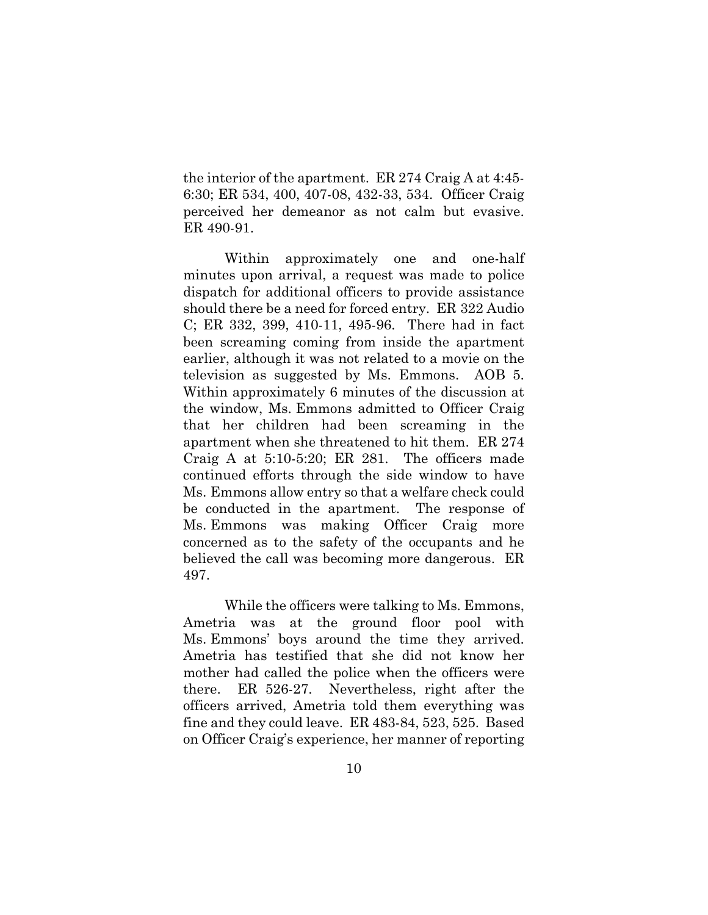the interior of the apartment. ER 274 Craig A at 4:45- 6:30; ER 534, 400, 407-08, 432-33, 534. Officer Craig perceived her demeanor as not calm but evasive. ER 490-91.

Within approximately one and one-half minutes upon arrival, a request was made to police dispatch for additional officers to provide assistance should there be a need for forced entry. ER 322 Audio C; ER 332, 399, 410-11, 495-96. There had in fact been screaming coming from inside the apartment earlier, although it was not related to a movie on the television as suggested by Ms. Emmons. AOB 5. Within approximately 6 minutes of the discussion at the window, Ms. Emmons admitted to Officer Craig that her children had been screaming in the apartment when she threatened to hit them. ER 274 Craig A at 5:10-5:20; ER 281. The officers made continued efforts through the side window to have Ms. Emmons allow entry so that a welfare check could be conducted in the apartment. The response of Ms. Emmons was making Officer Craig more concerned as to the safety of the occupants and he believed the call was becoming more dangerous. ER 497.

While the officers were talking to Ms. Emmons, Ametria was at the ground floor pool with Ms. Emmons' boys around the time they arrived. Ametria has testified that she did not know her mother had called the police when the officers were there. ER 526-27. Nevertheless, right after the officers arrived, Ametria told them everything was fine and they could leave. ER 483-84, 523, 525. Based on Officer Craig's experience, her manner of reporting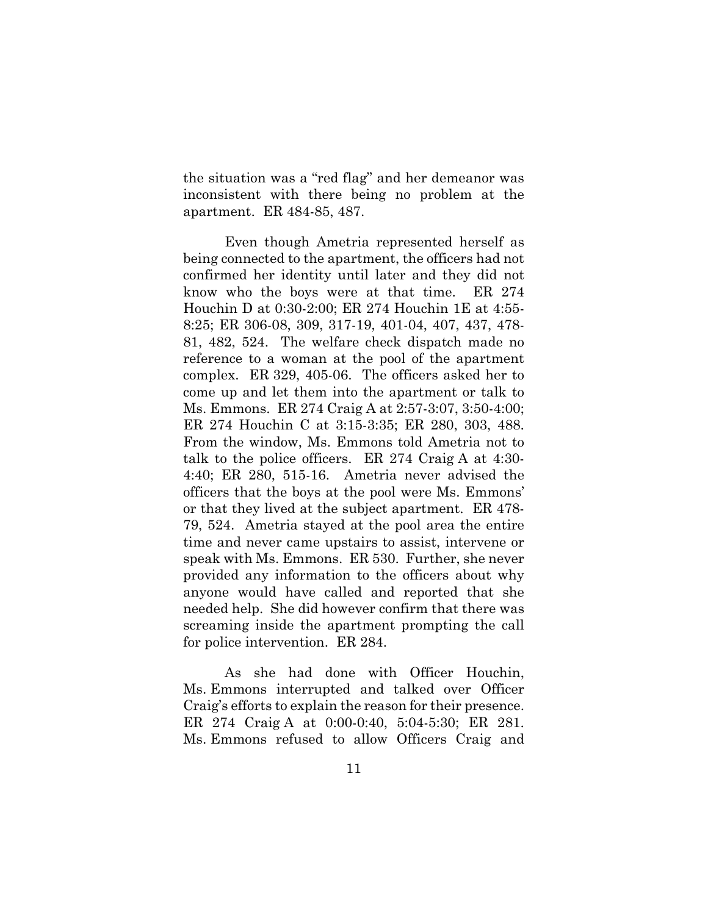the situation was a "red flag" and her demeanor was inconsistent with there being no problem at the apartment. ER 484-85, 487.

Even though Ametria represented herself as being connected to the apartment, the officers had not confirmed her identity until later and they did not know who the boys were at that time. ER 274 Houchin D at 0:30-2:00; ER 274 Houchin 1E at 4:55- 8:25; ER 306-08, 309, 317-19, 401-04, 407, 437, 478- 81, 482, 524. The welfare check dispatch made no reference to a woman at the pool of the apartment complex. ER 329, 405-06. The officers asked her to come up and let them into the apartment or talk to Ms. Emmons. ER 274 Craig A at 2:57-3:07, 3:50-4:00; ER 274 Houchin C at 3:15-3:35; ER 280, 303, 488. From the window, Ms. Emmons told Ametria not to talk to the police officers. ER 274 Craig A at 4:30- 4:40; ER 280, 515-16. Ametria never advised the officers that the boys at the pool were Ms. Emmons' or that they lived at the subject apartment. ER 478- 79, 524. Ametria stayed at the pool area the entire time and never came upstairs to assist, intervene or speak with Ms. Emmons. ER 530. Further, she never provided any information to the officers about why anyone would have called and reported that she needed help. She did however confirm that there was screaming inside the apartment prompting the call for police intervention. ER 284.

As she had done with Officer Houchin, Ms. Emmons interrupted and talked over Officer Craig's efforts to explain the reason for their presence. ER 274 Craig A at 0:00-0:40, 5:04-5:30; ER 281. Ms. Emmons refused to allow Officers Craig and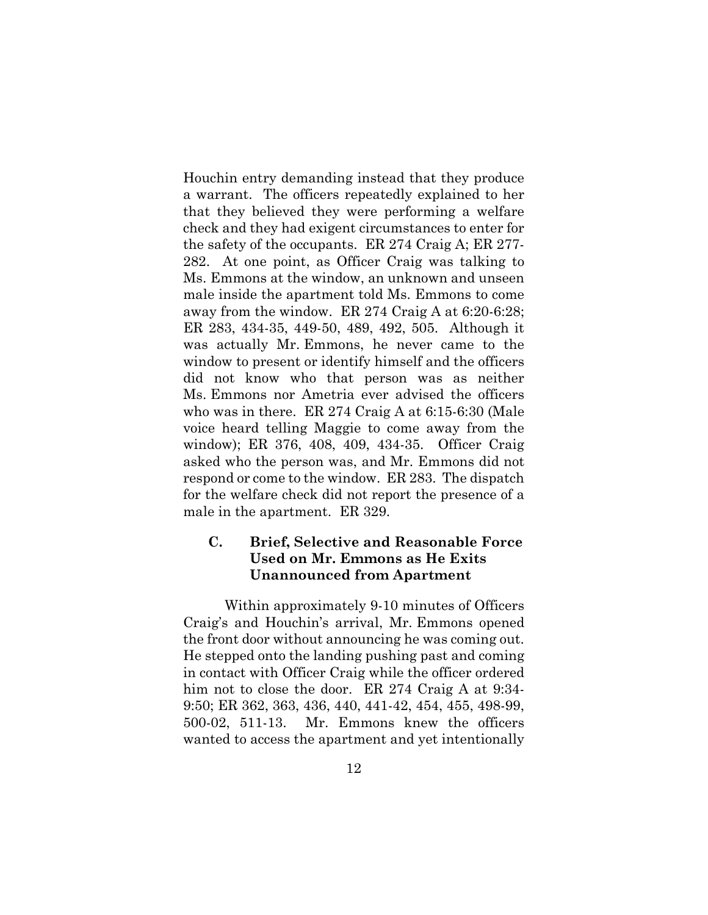Houchin entry demanding instead that they produce a warrant. The officers repeatedly explained to her that they believed they were performing a welfare check and they had exigent circumstances to enter for the safety of the occupants. ER 274 Craig A; ER 277- 282. At one point, as Officer Craig was talking to Ms. Emmons at the window, an unknown and unseen male inside the apartment told Ms. Emmons to come away from the window. ER 274 Craig A at 6:20-6:28; ER 283, 434-35, 449-50, 489, 492, 505. Although it was actually Mr. Emmons, he never came to the window to present or identify himself and the officers did not know who that person was as neither Ms. Emmons nor Ametria ever advised the officers who was in there. ER 274 Craig A at 6:15-6:30 (Male voice heard telling Maggie to come away from the window); ER 376, 408, 409, 434-35. Officer Craig asked who the person was, and Mr. Emmons did not respond or come to the window. ER 283. The dispatch for the welfare check did not report the presence of a male in the apartment. ER 329.

## **C. Brief, Selective and Reasonable Force Used on Mr. Emmons as He Exits Unannounced from Apartment**

Within approximately 9-10 minutes of Officers Craig's and Houchin's arrival, Mr. Emmons opened the front door without announcing he was coming out. He stepped onto the landing pushing past and coming in contact with Officer Craig while the officer ordered him not to close the door. ER 274 Craig A at 9:34-9:50; ER 362, 363, 436, 440, 441-42, 454, 455, 498-99, 500-02, 511-13. Mr. Emmons knew the officers wanted to access the apartment and yet intentionally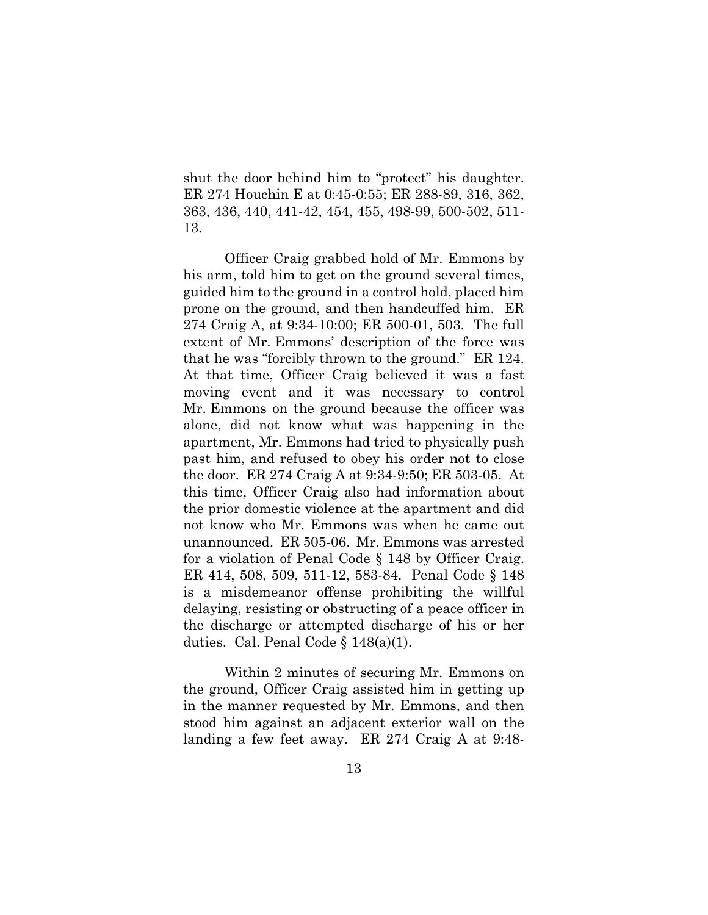shut the door behind him to "protect" his daughter. ER 274 Houchin E at 0:45-0:55; ER 288-89, 316, 362, 363, 436, 440, 441-42, 454, 455, 498-99, 500-502, 511- 13.

Officer Craig grabbed hold of Mr. Emmons by his arm, told him to get on the ground several times, guided him to the ground in a control hold, placed him prone on the ground, and then handcuffed him. ER 274 Craig A, at 9:34-10:00; ER 500-01, 503. The full extent of Mr. Emmons' description of the force was that he was "forcibly thrown to the ground." ER 124. At that time, Officer Craig believed it was a fast moving event and it was necessary to control Mr. Emmons on the ground because the officer was alone, did not know what was happening in the apartment, Mr. Emmons had tried to physically push past him, and refused to obey his order not to close the door. ER 274 Craig A at 9:34-9:50; ER 503-05. At this time, Officer Craig also had information about the prior domestic violence at the apartment and did not know who Mr. Emmons was when he came out unannounced. ER 505-06. Mr. Emmons was arrested for a violation of Penal Code § 148 by Officer Craig. ER 414, 508, 509, 511-12, 583-84. Penal Code § 148 is a misdemeanor offense prohibiting the willful delaying, resisting or obstructing of a peace officer in the discharge or attempted discharge of his or her duties. Cal. Penal Code § 148(a)(1).

Within 2 minutes of securing Mr. Emmons on the ground, Officer Craig assisted him in getting up in the manner requested by Mr. Emmons, and then stood him against an adjacent exterior wall on the landing a few feet away. ER 274 Craig A at 9:48-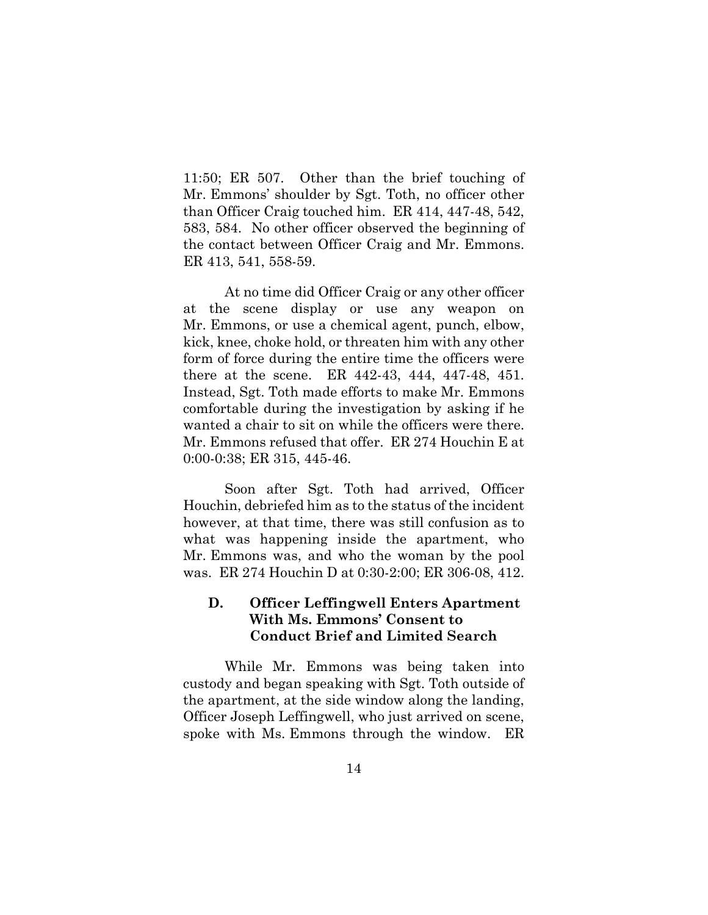11:50; ER 507. Other than the brief touching of Mr. Emmons' shoulder by Sgt. Toth, no officer other than Officer Craig touched him. ER 414, 447-48, 542, 583, 584. No other officer observed the beginning of the contact between Officer Craig and Mr. Emmons. ER 413, 541, 558-59.

At no time did Officer Craig or any other officer at the scene display or use any weapon on Mr. Emmons, or use a chemical agent, punch, elbow, kick, knee, choke hold, or threaten him with any other form of force during the entire time the officers were there at the scene. ER 442-43, 444, 447-48, 451. Instead, Sgt. Toth made efforts to make Mr. Emmons comfortable during the investigation by asking if he wanted a chair to sit on while the officers were there. Mr. Emmons refused that offer. ER 274 Houchin E at 0:00-0:38; ER 315, 445-46.

Soon after Sgt. Toth had arrived, Officer Houchin, debriefed him as to the status of the incident however, at that time, there was still confusion as to what was happening inside the apartment, who Mr. Emmons was, and who the woman by the pool was. ER 274 Houchin D at 0:30-2:00; ER 306-08, 412.

## **D. Officer Leffingwell Enters Apartment With Ms. Emmons' Consent to Conduct Brief and Limited Search**

While Mr. Emmons was being taken into custody and began speaking with Sgt. Toth outside of the apartment, at the side window along the landing, Officer Joseph Leffingwell, who just arrived on scene, spoke with Ms. Emmons through the window. ER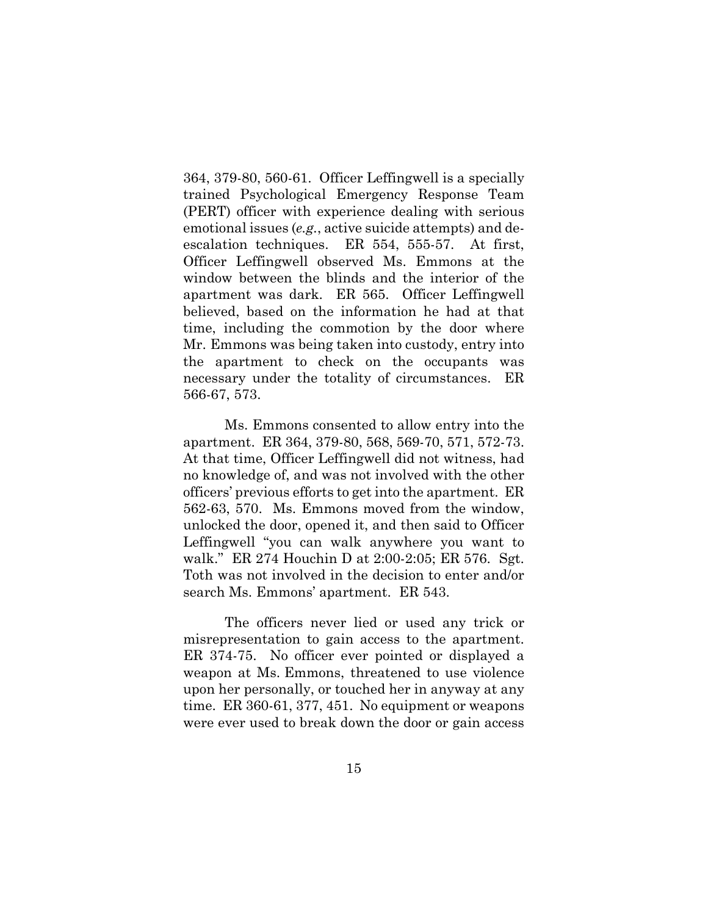364, 379-80, 560-61. Officer Leffingwell is a specially trained Psychological Emergency Response Team (PERT) officer with experience dealing with serious emotional issues (*e.g.*, active suicide attempts) and deescalation techniques. ER 554, 555-57. At first, Officer Leffingwell observed Ms. Emmons at the window between the blinds and the interior of the apartment was dark. ER 565. Officer Leffingwell believed, based on the information he had at that time, including the commotion by the door where Mr. Emmons was being taken into custody, entry into the apartment to check on the occupants was necessary under the totality of circumstances. ER 566-67, 573.

Ms. Emmons consented to allow entry into the apartment. ER 364, 379-80, 568, 569-70, 571, 572-73. At that time, Officer Leffingwell did not witness, had no knowledge of, and was not involved with the other officers' previous efforts to get into the apartment. ER 562-63, 570. Ms. Emmons moved from the window, unlocked the door, opened it, and then said to Officer Leffingwell "you can walk anywhere you want to walk." ER 274 Houchin D at 2:00-2:05; ER 576. Sgt. Toth was not involved in the decision to enter and/or search Ms. Emmons' apartment. ER 543.

The officers never lied or used any trick or misrepresentation to gain access to the apartment. ER 374-75. No officer ever pointed or displayed a weapon at Ms. Emmons, threatened to use violence upon her personally, or touched her in anyway at any time. ER 360-61, 377, 451. No equipment or weapons were ever used to break down the door or gain access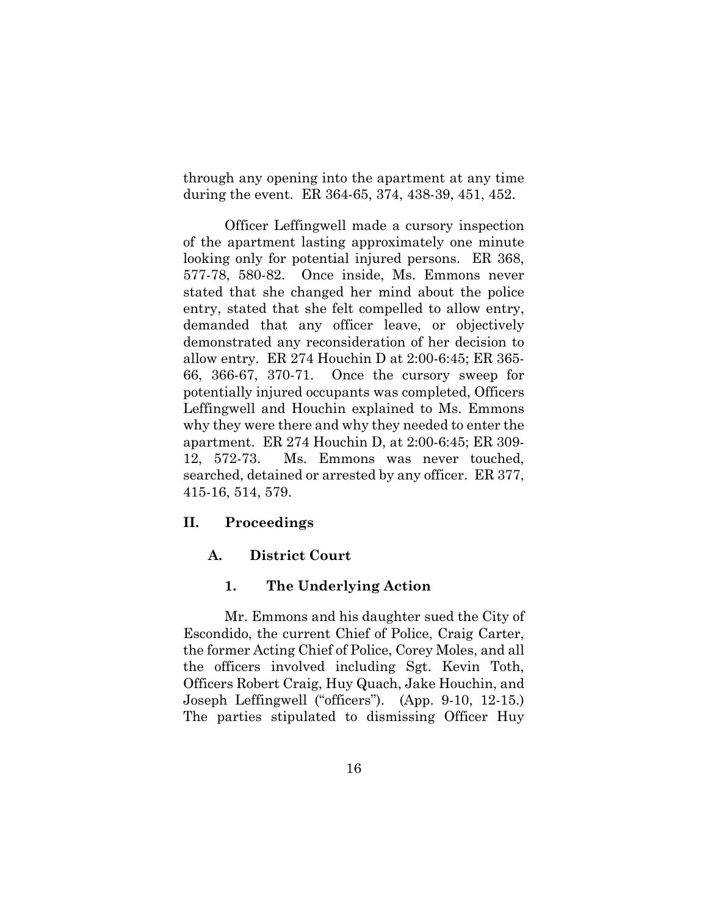through any opening into the apartment at any time during the event. ER 364-65, 374, 438-39, 451, 452.

Officer Leffingwell made a cursory inspection of the apartment lasting approximately one minute looking only for potential injured persons. ER 368, 577-78, 580-82. Once inside, Ms. Emmons never stated that she changed her mind about the police entry, stated that she felt compelled to allow entry, demanded that any officer leave, or objectively demonstrated any reconsideration of her decision to allow entry. ER 274 Houchin D at 2:00-6:45; ER 365- 66, 366-67, 370-71. Once the cursory sweep for potentially injured occupants was completed, Officers Leffingwell and Houchin explained to Ms. Emmons why they were there and why they needed to enter the apartment. ER 274 Houchin D, at 2:00-6:45; ER 309- 12, 572-73. Ms. Emmons was never touched, searched, detained or arrested by any officer. ER 377, 415-16, 514, 579.

#### **II. Proceedings**

#### **A. District Court**

#### **1. The Underlying Action**

Mr. Emmons and his daughter sued the City of Escondido, the current Chief of Police, Craig Carter, the former Acting Chief of Police, Corey Moles, and all the officers involved including Sgt. Kevin Toth, Officers Robert Craig, Huy Quach, Jake Houchin, and Joseph Leffingwell ("officers"). (App. 9-10, 12-15.) The parties stipulated to dismissing Officer Huy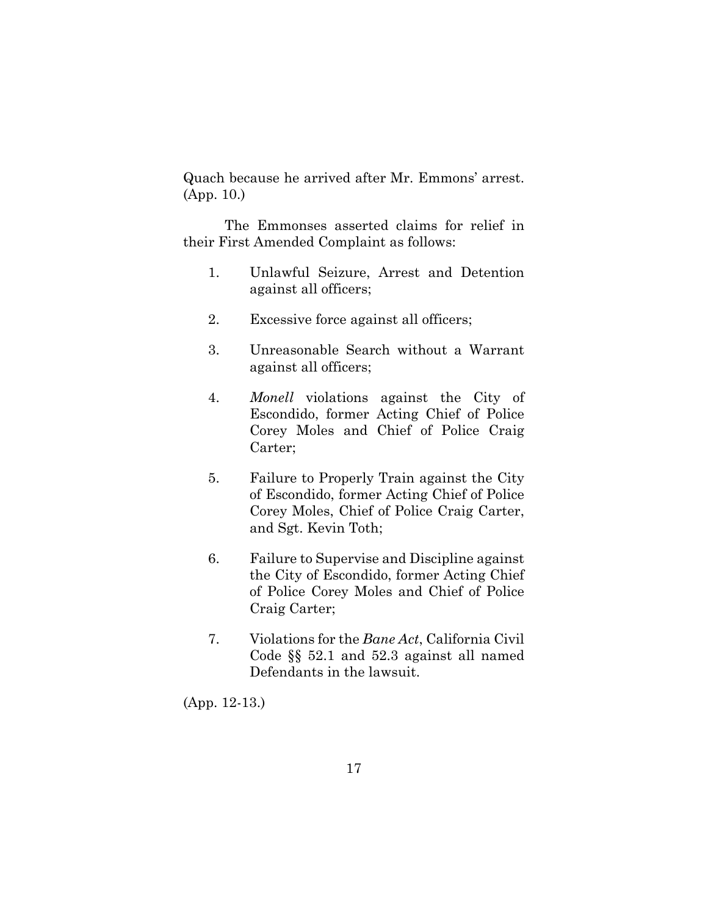Quach because he arrived after Mr. Emmons' arrest. (App. 10.)

The Emmonses asserted claims for relief in their First Amended Complaint as follows:

- 1. Unlawful Seizure, Arrest and Detention against all officers;
- 2. Excessive force against all officers;
- 3. Unreasonable Search without a Warrant against all officers;
- 4. *Monell* violations against the City of Escondido, former Acting Chief of Police Corey Moles and Chief of Police Craig Carter;
- 5. Failure to Properly Train against the City of Escondido, former Acting Chief of Police Corey Moles, Chief of Police Craig Carter, and Sgt. Kevin Toth;
- 6. Failure to Supervise and Discipline against the City of Escondido, former Acting Chief of Police Corey Moles and Chief of Police Craig Carter;
- 7. Violations for the *Bane Act*, California Civil Code §§ 52.1 and 52.3 against all named Defendants in the lawsuit.

(App. 12-13.)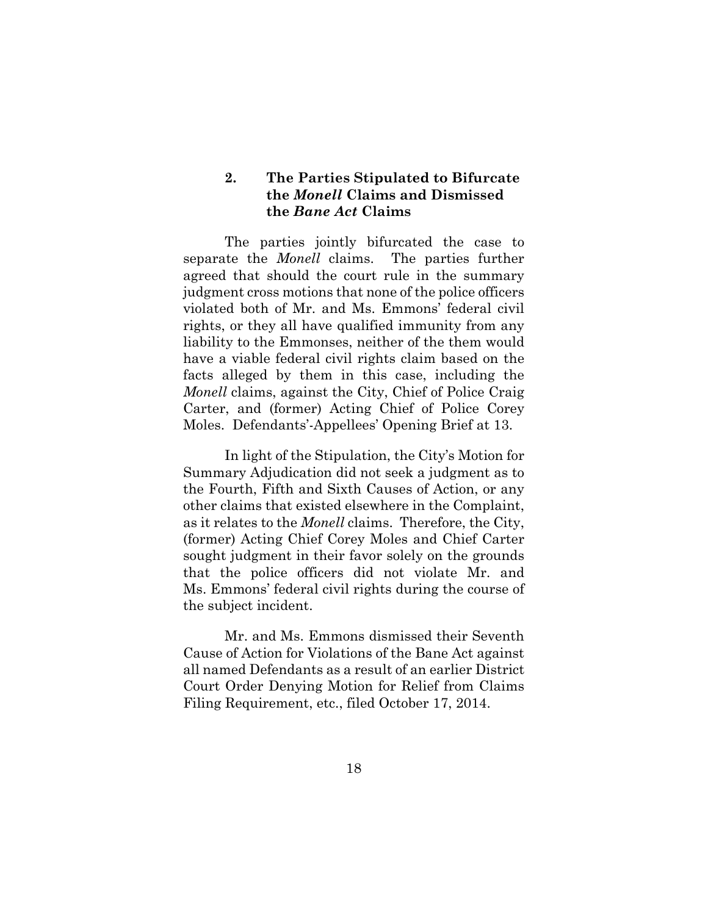## **2. The Parties Stipulated to Bifurcate the** *Monell* **Claims and Dismissed the** *Bane Act* **Claims**

The parties jointly bifurcated the case to separate the *Monell* claims. The parties further agreed that should the court rule in the summary judgment cross motions that none of the police officers violated both of Mr. and Ms. Emmons' federal civil rights, or they all have qualified immunity from any liability to the Emmonses, neither of the them would have a viable federal civil rights claim based on the facts alleged by them in this case, including the *Monell* claims, against the City, Chief of Police Craig Carter, and (former) Acting Chief of Police Corey Moles. Defendants'-Appellees' Opening Brief at 13.

In light of the Stipulation, the City's Motion for Summary Adjudication did not seek a judgment as to the Fourth, Fifth and Sixth Causes of Action, or any other claims that existed elsewhere in the Complaint, as it relates to the *Monell* claims. Therefore, the City, (former) Acting Chief Corey Moles and Chief Carter sought judgment in their favor solely on the grounds that the police officers did not violate Mr. and Ms. Emmons' federal civil rights during the course of the subject incident.

Mr. and Ms. Emmons dismissed their Seventh Cause of Action for Violations of the Bane Act against all named Defendants as a result of an earlier District Court Order Denying Motion for Relief from Claims Filing Requirement, etc., filed October 17, 2014.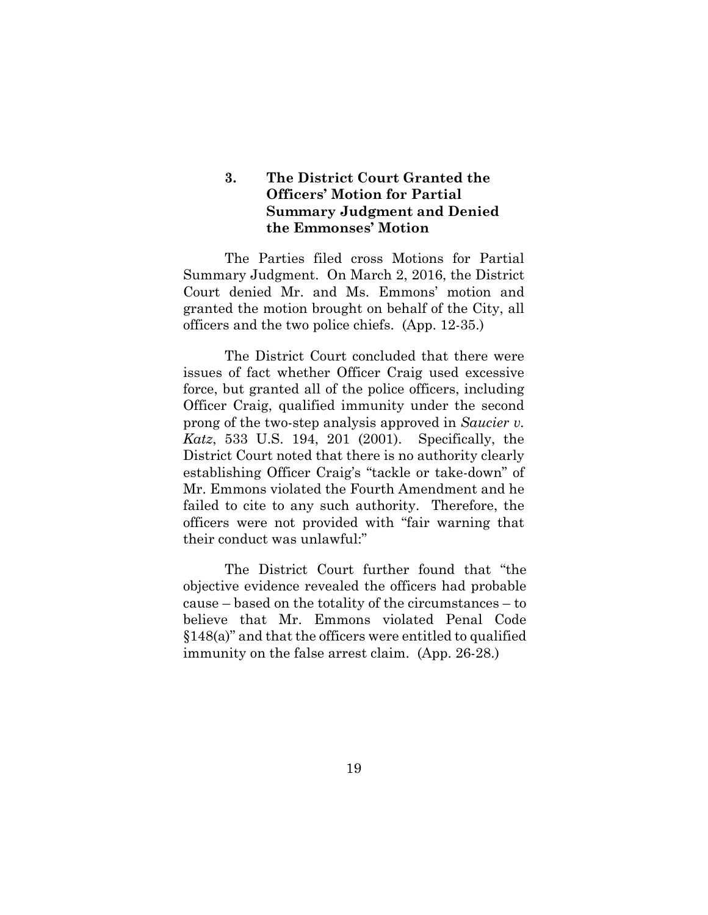## **3. The District Court Granted the Officers' Motion for Partial Summary Judgment and Denied the Emmonses' Motion**

The Parties filed cross Motions for Partial Summary Judgment. On March 2, 2016, the District Court denied Mr. and Ms. Emmons' motion and granted the motion brought on behalf of the City, all officers and the two police chiefs. (App. 12-35.)

The District Court concluded that there were issues of fact whether Officer Craig used excessive force, but granted all of the police officers, including Officer Craig, qualified immunity under the second prong of the two-step analysis approved in *Saucier v. Katz*, 533 U.S. 194, 201 (2001). Specifically, the District Court noted that there is no authority clearly establishing Officer Craig's "tackle or take-down" of Mr. Emmons violated the Fourth Amendment and he failed to cite to any such authority. Therefore, the officers were not provided with "fair warning that their conduct was unlawful:"

The District Court further found that "the objective evidence revealed the officers had probable cause – based on the totality of the circumstances – to believe that Mr. Emmons violated Penal Code §148(a)" and that the officers were entitled to qualified immunity on the false arrest claim. (App. 26-28.)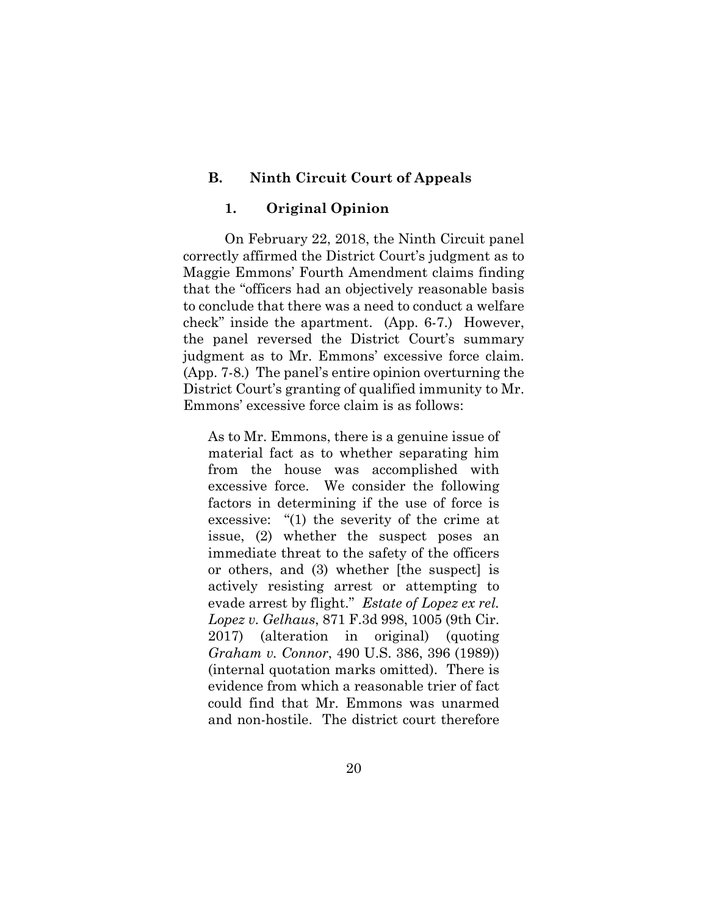## **B. Ninth Circuit Court of Appeals**

#### **1. Original Opinion**

On February 22, 2018, the Ninth Circuit panel correctly affirmed the District Court's judgment as to Maggie Emmons' Fourth Amendment claims finding that the "officers had an objectively reasonable basis to conclude that there was a need to conduct a welfare check" inside the apartment. (App. 6-7.) However, the panel reversed the District Court's summary judgment as to Mr. Emmons' excessive force claim. (App. 7-8.) The panel's entire opinion overturning the District Court's granting of qualified immunity to Mr. Emmons' excessive force claim is as follows:

As to Mr. Emmons, there is a genuine issue of material fact as to whether separating him from the house was accomplished with excessive force. We consider the following factors in determining if the use of force is excessive: "(1) the severity of the crime at issue, (2) whether the suspect poses an immediate threat to the safety of the officers or others, and (3) whether [the suspect] is actively resisting arrest or attempting to evade arrest by flight." *Estate of Lopez ex rel. Lopez v. Gelhaus*, 871 F.3d 998, 1005 (9th Cir. 2017) (alteration in original) (quoting *Graham v. Connor*, 490 U.S. 386, 396 (1989)) (internal quotation marks omitted). There is evidence from which a reasonable trier of fact could find that Mr. Emmons was unarmed and non-hostile. The district court therefore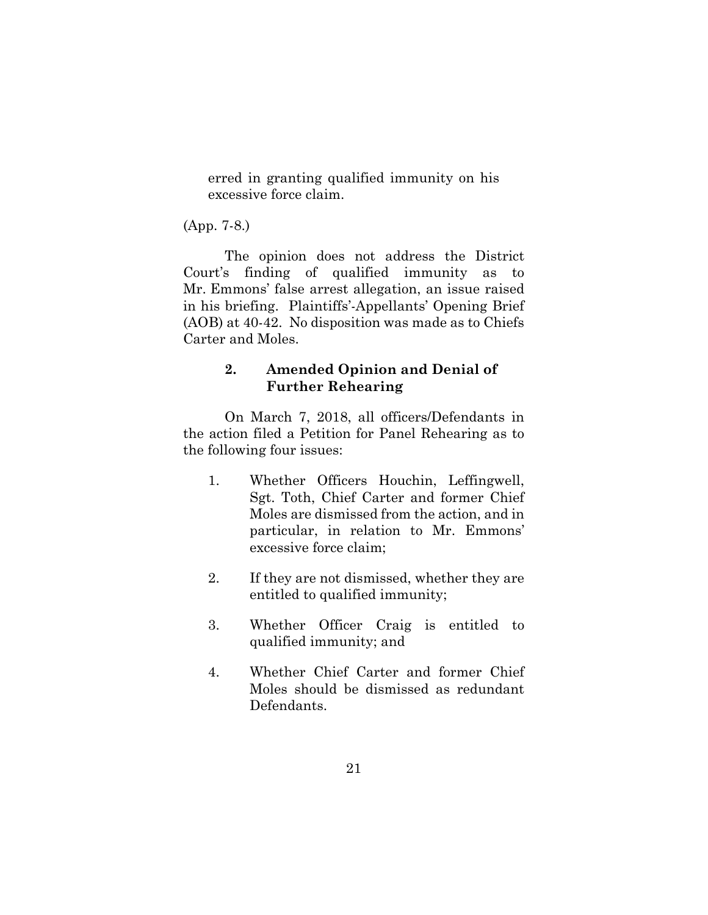erred in granting qualified immunity on his excessive force claim.

(App. 7-8.)

The opinion does not address the District Court's finding of qualified immunity as to Mr. Emmons' false arrest allegation, an issue raised in his briefing. Plaintiffs'-Appellants' Opening Brief (AOB) at 40-42. No disposition was made as to Chiefs Carter and Moles.

## **2. Amended Opinion and Denial of Further Rehearing**

On March 7, 2018, all officers/Defendants in the action filed a Petition for Panel Rehearing as to the following four issues:

- 1. Whether Officers Houchin, Leffingwell, Sgt. Toth, Chief Carter and former Chief Moles are dismissed from the action, and in particular, in relation to Mr. Emmons' excessive force claim;
- 2. If they are not dismissed, whether they are entitled to qualified immunity;
- 3. Whether Officer Craig is entitled to qualified immunity; and
- 4. Whether Chief Carter and former Chief Moles should be dismissed as redundant Defendants.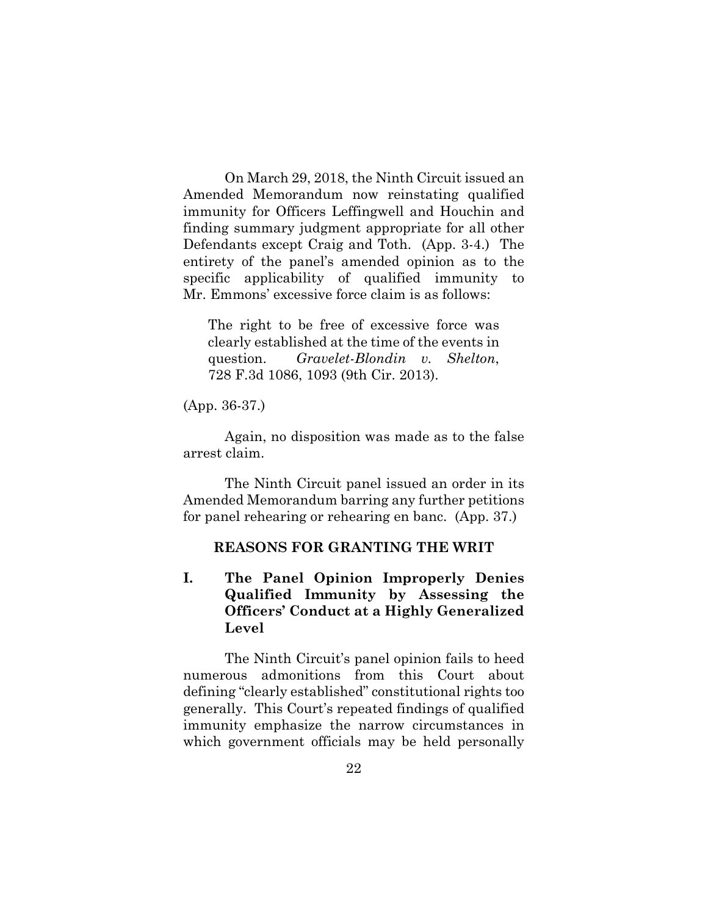On March 29, 2018, the Ninth Circuit issued an Amended Memorandum now reinstating qualified immunity for Officers Leffingwell and Houchin and finding summary judgment appropriate for all other Defendants except Craig and Toth. (App. 3-4.) The entirety of the panel's amended opinion as to the specific applicability of qualified immunity to Mr. Emmons' excessive force claim is as follows:

The right to be free of excessive force was clearly established at the time of the events in question. *Gravelet-Blondin v. Shelton*, 728 F.3d 1086, 1093 (9th Cir. 2013).

(App. 36-37.)

Again, no disposition was made as to the false arrest claim.

The Ninth Circuit panel issued an order in its Amended Memorandum barring any further petitions for panel rehearing or rehearing en banc. (App. 37.)

### **REASONS FOR GRANTING THE WRIT**

## **I. The Panel Opinion Improperly Denies Qualified Immunity by Assessing the Officers' Conduct at a Highly Generalized Level**

The Ninth Circuit's panel opinion fails to heed numerous admonitions from this Court about defining "clearly established" constitutional rights too generally. This Court's repeated findings of qualified immunity emphasize the narrow circumstances in which government officials may be held personally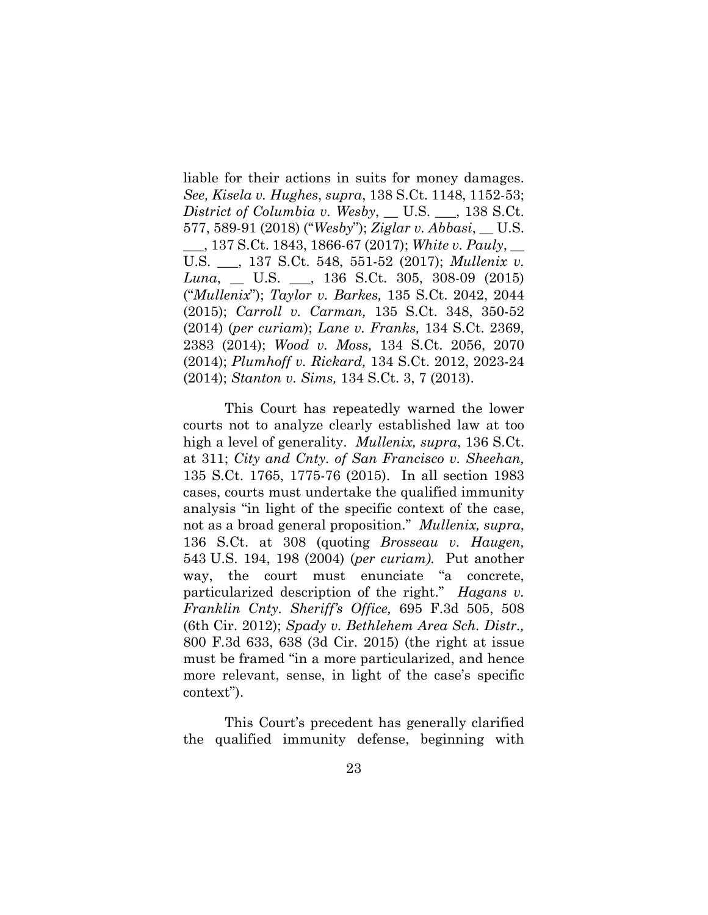liable for their actions in suits for money damages. *See, Kisela v. Hughes*, *supra*, 138 S.Ct. 1148, 1152-53; *District of Columbia v. Wesby*, \_\_ U.S. \_\_\_, 138 S.Ct. 577, 589-91 (2018) ("*Wesby*"); *Ziglar v. Abbasi*, \_\_ U.S. \_\_\_, 137 S.Ct. 1843, 1866-67 (2017); *White v. Pauly*, \_\_ U.S. \_\_\_, 137 S.Ct. 548, 551-52 (2017); *Mullenix v. Luna*, \_\_ U.S. \_\_\_, 136 S.Ct. 305, 308-09 (2015) ("*Mullenix*"); *Taylor v. Barkes,* [135 S.Ct. 2042, 2044](http://www.westlaw.com/Link/Document/FullText?findType=Y&serNum=2036374293&pubNum=0000708&originatingDoc=Ic64a590649c311e6b4bafa136b480ad2&refType=RP&fi=co_pp_sp_708_2044&originationContext=document&vr=3.0&rs=cblt1.0&transitionType=DocumentItem&contextData=(sc.RelatedInfo)#co_pp_sp_708_2044)  [\(2015\);](http://www.westlaw.com/Link/Document/FullText?findType=Y&serNum=2036374293&pubNum=0000708&originatingDoc=Ic64a590649c311e6b4bafa136b480ad2&refType=RP&fi=co_pp_sp_708_2044&originationContext=document&vr=3.0&rs=cblt1.0&transitionType=DocumentItem&contextData=(sc.RelatedInfo)#co_pp_sp_708_2044) *Carroll v. Carman,* [135 S.Ct. 348, 350-52](http://www.westlaw.com/Link/Document/FullText?findType=Y&serNum=2034754157&pubNum=0000708&originatingDoc=Ic64a590649c311e6b4bafa136b480ad2&refType=RP&fi=co_pp_sp_708_350&originationContext=document&vr=3.0&rs=cblt1.0&transitionType=DocumentItem&contextData=(sc.RelatedInfo)#co_pp_sp_708_350)  [\(2014\)](http://www.westlaw.com/Link/Document/FullText?findType=Y&serNum=2034754157&pubNum=0000708&originatingDoc=Ic64a590649c311e6b4bafa136b480ad2&refType=RP&fi=co_pp_sp_708_350&originationContext=document&vr=3.0&rs=cblt1.0&transitionType=DocumentItem&contextData=(sc.RelatedInfo)#co_pp_sp_708_350) (*per curiam*); *Lane v. Franks,* [134 S.Ct. 2369,](http://www.westlaw.com/Link/Document/FullText?findType=Y&serNum=2033619400&pubNum=0000708&originatingDoc=Ic64a590649c311e6b4bafa136b480ad2&refType=RP&fi=co_pp_sp_708_2383&originationContext=document&vr=3.0&rs=cblt1.0&transitionType=DocumentItem&contextData=(sc.RelatedInfo)#co_pp_sp_708_2383)  [2383 \(2014\);](http://www.westlaw.com/Link/Document/FullText?findType=Y&serNum=2033619400&pubNum=0000708&originatingDoc=Ic64a590649c311e6b4bafa136b480ad2&refType=RP&fi=co_pp_sp_708_2383&originationContext=document&vr=3.0&rs=cblt1.0&transitionType=DocumentItem&contextData=(sc.RelatedInfo)#co_pp_sp_708_2383) *Wood v. Moss,* [134 S.Ct. 2056, 2070](http://www.westlaw.com/Link/Document/FullText?findType=Y&serNum=2033456180&pubNum=0000708&originatingDoc=Ic64a590649c311e6b4bafa136b480ad2&refType=RP&fi=co_pp_sp_708_2070&originationContext=document&vr=3.0&rs=cblt1.0&transitionType=DocumentItem&contextData=(sc.RelatedInfo)#co_pp_sp_708_2070)  [\(2014\);](http://www.westlaw.com/Link/Document/FullText?findType=Y&serNum=2033456180&pubNum=0000708&originatingDoc=Ic64a590649c311e6b4bafa136b480ad2&refType=RP&fi=co_pp_sp_708_2070&originationContext=document&vr=3.0&rs=cblt1.0&transitionType=DocumentItem&contextData=(sc.RelatedInfo)#co_pp_sp_708_2070) *Plumhoff v. Rickard,* [134 S.Ct. 2012, 2023-24](http://www.westlaw.com/Link/Document/FullText?findType=Y&serNum=2033456177&pubNum=0000708&originatingDoc=Ic64a590649c311e6b4bafa136b480ad2&refType=RP&fi=co_pp_sp_708_2023&originationContext=document&vr=3.0&rs=cblt1.0&transitionType=DocumentItem&contextData=(sc.RelatedInfo)#co_pp_sp_708_2023) (2014); *Stanton v. Sims,* [134 S.Ct. 3, 7 \(2013\).](http://www.westlaw.com/Link/Document/FullText?findType=Y&serNum=2031890972&pubNum=0000708&originatingDoc=Ic64a590649c311e6b4bafa136b480ad2&refType=RP&fi=co_pp_sp_708_7&originationContext=document&vr=3.0&rs=cblt1.0&transitionType=DocumentItem&contextData=(sc.RelatedInfo)#co_pp_sp_708_7)

This Court has repeatedly warned the lower courts not to analyze clearly established law at too high a level of generality. *[Mullenix, supra](http://www.westlaw.com/Link/Document/FullText?findType=Y&serNum=2037557174&pubNum=0000708&originatingDoc=Ic64a590649c311e6b4bafa136b480ad2&refType=RP&fi=co_pp_sp_708_311&originationContext=document&vr=3.0&rs=cblt1.0&transitionType=DocumentItem&contextData=(sc.RelatedInfo)#co_pp_sp_708_311)*, 136 S.Ct. [at 311;](http://www.westlaw.com/Link/Document/FullText?findType=Y&serNum=2037557174&pubNum=0000708&originatingDoc=Ic64a590649c311e6b4bafa136b480ad2&refType=RP&fi=co_pp_sp_708_311&originationContext=document&vr=3.0&rs=cblt1.0&transitionType=DocumentItem&contextData=(sc.RelatedInfo)#co_pp_sp_708_311) *[City and Cnty. of San Francisco v. Sheehan,](http://www.westlaw.com/Link/Document/FullText?findType=Y&serNum=2036280943&pubNum=0000708&originatingDoc=Ic64a590649c311e6b4bafa136b480ad2&refType=RP&fi=co_pp_sp_708_1775&originationContext=document&vr=3.0&rs=cblt1.0&transitionType=DocumentItem&contextData=(sc.RelatedInfo)#co_pp_sp_708_1775)* [135 S.Ct. 1765, 1775-76 \(2015\).](http://www.westlaw.com/Link/Document/FullText?findType=Y&serNum=2036280943&pubNum=0000708&originatingDoc=Ic64a590649c311e6b4bafa136b480ad2&refType=RP&fi=co_pp_sp_708_1775&originationContext=document&vr=3.0&rs=cblt1.0&transitionType=DocumentItem&contextData=(sc.RelatedInfo)#co_pp_sp_708_1775) In all [section 1983](http://www.westlaw.com/Link/Document/FullText?findType=L&pubNum=1000546&cite=42USCAS1983&originatingDoc=Ic64a590649c311e6b4bafa136b480ad2&refType=LQ&originationContext=document&vr=3.0&rs=cblt1.0&transitionType=DocumentItem&contextData=(sc.RelatedInfo)) cases, courts must undertake the qualified immunity analysis "in light of the specific context of the case, not as a broad general proposition." *[Mullenix,](http://www.westlaw.com/Link/Document/FullText?findType=Y&serNum=2037557174&pubNum=0000708&originatingDoc=Ic64a590649c311e6b4bafa136b480ad2&refType=RP&fi=co_pp_sp_708_308&originationContext=document&vr=3.0&rs=cblt1.0&transitionType=DocumentItem&contextData=(sc.RelatedInfo)#co_pp_sp_708_308) supra*, [136 S.Ct. at 308](http://www.westlaw.com/Link/Document/FullText?findType=Y&serNum=2037557174&pubNum=0000708&originatingDoc=Ic64a590649c311e6b4bafa136b480ad2&refType=RP&fi=co_pp_sp_708_308&originationContext=document&vr=3.0&rs=cblt1.0&transitionType=DocumentItem&contextData=(sc.RelatedInfo)#co_pp_sp_708_308) (quoting *[Brosseau v. Haugen,](http://www.westlaw.com/Link/Document/FullText?findType=Y&serNum=2005746170&pubNum=0000780&originatingDoc=Ic64a590649c311e6b4bafa136b480ad2&refType=RP&fi=co_pp_sp_780_198&originationContext=document&vr=3.0&rs=cblt1.0&transitionType=DocumentItem&contextData=(sc.RelatedInfo)#co_pp_sp_780_198)* 543 [U.S. 194, 198 \(2004\)](http://www.westlaw.com/Link/Document/FullText?findType=Y&serNum=2005746170&pubNum=0000780&originatingDoc=Ic64a590649c311e6b4bafa136b480ad2&refType=RP&fi=co_pp_sp_780_198&originationContext=document&vr=3.0&rs=cblt1.0&transitionType=DocumentItem&contextData=(sc.RelatedInfo)#co_pp_sp_780_198) (*per curiam).* Put another way, the court must enunciate "a concrete, particularized description of the right." *[Hagans v.](http://www.westlaw.com/Link/Document/FullText?findType=Y&serNum=2028469553&pubNum=0000506&originatingDoc=Ic64a590649c311e6b4bafa136b480ad2&refType=RP&fi=co_pp_sp_506_508&originationContext=document&vr=3.0&rs=cblt1.0&transitionType=DocumentItem&contextData=(sc.RelatedInfo)#co_pp_sp_506_508)  [Franklin Cnty. Sheriff's Office,](http://www.westlaw.com/Link/Document/FullText?findType=Y&serNum=2028469553&pubNum=0000506&originatingDoc=Ic64a590649c311e6b4bafa136b480ad2&refType=RP&fi=co_pp_sp_506_508&originationContext=document&vr=3.0&rs=cblt1.0&transitionType=DocumentItem&contextData=(sc.RelatedInfo)#co_pp_sp_506_508)* 695 F.3d 505, 508 (6th Cir. 2012); *Spady [v. Bethlehem Area Sch. Distr.,](http://www.westlaw.com/Link/Document/FullText?findType=Y&serNum=2036994235&pubNum=0000506&originatingDoc=Ic64a590649c311e6b4bafa136b480ad2&refType=RP&fi=co_pp_sp_506_638&originationContext=document&vr=3.0&rs=cblt1.0&transitionType=DocumentItem&contextData=(sc.RelatedInfo)#co_pp_sp_506_638)* [800 F.3d 633,](http://www.westlaw.com/Link/Document/FullText?findType=Y&serNum=2036994235&pubNum=0000506&originatingDoc=Ic64a590649c311e6b4bafa136b480ad2&refType=RP&fi=co_pp_sp_506_638&originationContext=document&vr=3.0&rs=cblt1.0&transitionType=DocumentItem&contextData=(sc.RelatedInfo)#co_pp_sp_506_638) 638 (3d Cir. 2015) (the right at issue must be framed "in a more particularized, and hence more relevant, sense, in light of the case's specific context").

This Court's precedent has generally clarified the qualified immunity defense, beginning with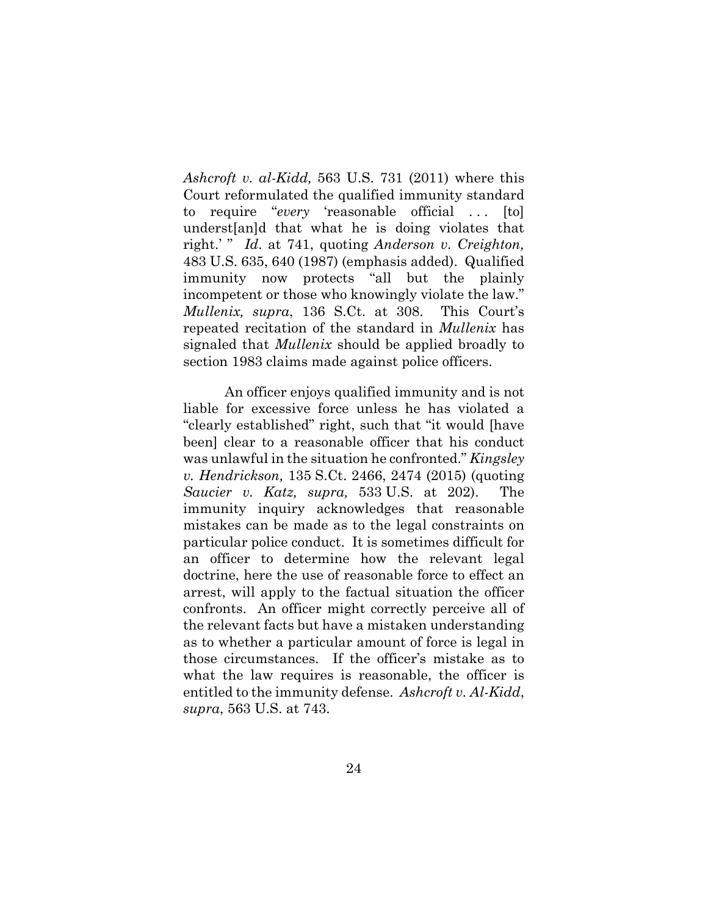*[Ashcroft v. al-Kidd,](http://www.westlaw.com/Link/Document/FullText?findType=Y&serNum=2025376455&pubNum=0000708&originatingDoc=Ic64a590649c311e6b4bafa136b480ad2&refType=RP&originationContext=document&vr=3.0&rs=cblt1.0&transitionType=DocumentItem&contextData=(sc.RelatedInfo))* 563 U.S. 731 (2011) where this Court reformulated the qualified immunity standard to require "*every* 'reasonable official ... [to] underst[an]d that what he is doing violates that right.' " *Id*. at 741, quoting *[Anderson v. Creighton,](http://www.westlaw.com/Link/Document/FullText?findType=Y&serNum=1987079684&pubNum=0000780&originatingDoc=Ic64a590649c311e6b4bafa136b480ad2&refType=RP&fi=co_pp_sp_780_640&originationContext=document&vr=3.0&rs=cblt1.0&transitionType=DocumentItem&contextData=(sc.RelatedInfo)#co_pp_sp_780_640)* [483 U.S. 635, 640 \(1987\)](http://www.westlaw.com/Link/Document/FullText?findType=Y&serNum=1987079684&pubNum=0000780&originatingDoc=Ic64a590649c311e6b4bafa136b480ad2&refType=RP&fi=co_pp_sp_780_640&originationContext=document&vr=3.0&rs=cblt1.0&transitionType=DocumentItem&contextData=(sc.RelatedInfo)#co_pp_sp_780_640) (emphasis added). Qualified immunity now protects "all but the plainly incompetent or those who knowingly violate the law." *Mullenix, supra*[, 136 S.Ct. at 308.](http://www.westlaw.com/Link/Document/FullText?findType=Y&serNum=2037557174&pubNum=0000708&originatingDoc=Ic64a590649c311e6b4bafa136b480ad2&refType=RP&fi=co_pp_sp_708_308&originationContext=document&vr=3.0&rs=cblt1.0&transitionType=DocumentItem&contextData=(sc.RelatedInfo)#co_pp_sp_708_308) This Court's repeated recitation of the standard in *Mullenix* has signaled that *Mullenix* should be applied broadly to [section 1983](http://www.westlaw.com/Link/Document/FullText?findType=L&pubNum=1000546&cite=42USCAS1983&originatingDoc=Ic64a590649c311e6b4bafa136b480ad2&refType=LQ&originationContext=document&vr=3.0&rs=cblt1.0&transitionType=DocumentItem&contextData=(sc.RelatedInfo)) claims made against police officers.

An officer enjoys qualified immunity and is not liable for excessive force unless he has violated a "clearly established" right, such that "it would [have been] clear to a reasonable officer that his conduct was unlawful in the situation he confronted." *[Kingsley](http://www.westlaw.com/Link/Document/FullText?findType=Y&serNum=2036504523&pubNum=0000708&originatingDoc=Ic64a590649c311e6b4bafa136b480ad2&refType=RP&fi=co_pp_sp_708_2474&originationContext=document&vr=3.0&rs=cblt1.0&transitionType=DocumentItem&contextData=(sc.RelatedInfo)#co_pp_sp_708_2474)  v. Hendrickson,* 135 [S.Ct. 2466, 2474](http://www.westlaw.com/Link/Document/FullText?findType=Y&serNum=2036504523&pubNum=0000708&originatingDoc=Ic64a590649c311e6b4bafa136b480ad2&refType=RP&fi=co_pp_sp_708_2474&originationContext=document&vr=3.0&rs=cblt1.0&transitionType=DocumentItem&contextData=(sc.RelatedInfo)#co_pp_sp_708_2474) (2015) (quoting *[Saucier v. Katz, supra,](http://www.westlaw.com/Link/Document/FullText?findType=Y&serNum=2001518729&pubNum=0000780&originatingDoc=Ic64a590649c311e6b4bafa136b480ad2&refType=RP&fi=co_pp_sp_780_202&originationContext=document&vr=3.0&rs=cblt1.0&transitionType=DocumentItem&contextData=(sc.RelatedInfo)#co_pp_sp_780_202)* 533 U.S. at 202). The immunity inquiry acknowledges that reasonable mistakes can be made as to the legal constraints on particular police conduct. It is sometimes difficult for an officer to determine how the relevant legal doctrine, here the use of reasonable force to effect an arrest, will apply to the factual situation the officer confronts. An officer might correctly perceive all of the relevant facts but have a mistaken understanding as to whether a particular amount of force is legal in those circumstances. If the officer's mistake as to what the law requires is reasonable, the officer is entitled to the immunity defense. *Ashcroft v. Al-Kidd*, *supra*, 563 U.S. at 743.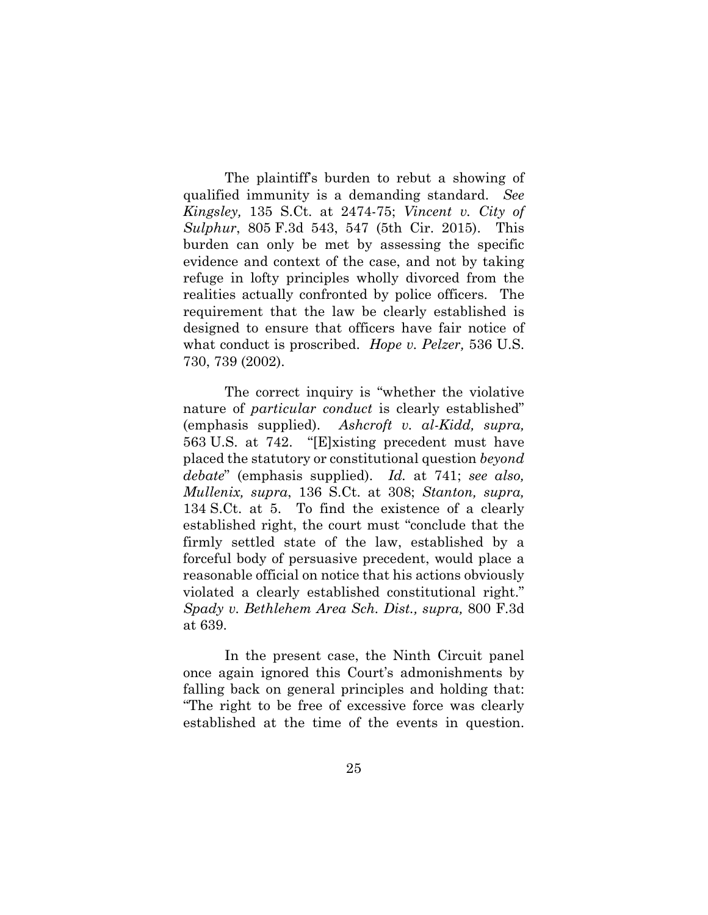The plaintiff's burden to rebut a showing of qualified immunity is a demanding standard. *See Kingsley,* [135 S.Ct. at 2474-75;](http://www.westlaw.com/Link/Document/FullText?findType=Y&serNum=2036504523&pubNum=0000708&originatingDoc=Ic64a590649c311e6b4bafa136b480ad2&refType=RP&fi=co_pp_sp_708_2474&originationContext=document&vr=3.0&rs=cblt1.0&transitionType=DocumentItem&contextData=(sc.RelatedInfo)#co_pp_sp_708_2474) *[Vincent v. City of](http://www.westlaw.com/Link/Document/FullText?findType=Y&serNum=2037515572&pubNum=0000506&originatingDoc=Ic64a590649c311e6b4bafa136b480ad2&refType=RP&fi=co_pp_sp_506_547&originationContext=document&vr=3.0&rs=cblt1.0&transitionType=DocumentItem&contextData=(sc.RelatedInfo)#co_pp_sp_506_547)  Sulphur*, 805 [F.3d 543, 547](http://www.westlaw.com/Link/Document/FullText?findType=Y&serNum=2037515572&pubNum=0000506&originatingDoc=Ic64a590649c311e6b4bafa136b480ad2&refType=RP&fi=co_pp_sp_506_547&originationContext=document&vr=3.0&rs=cblt1.0&transitionType=DocumentItem&contextData=(sc.RelatedInfo)#co_pp_sp_506_547) (5th Cir. 2015). This burden can only be met by assessing the specific evidence and context of the case, and not by taking refuge in lofty principles wholly divorced from the realities actually confronted by police officers. The requirement that the law be clearly established is designed to ensure that officers have fair notice of what conduct is proscribed. *Hope v. Pelzer,* 536 U.S. 730, 739 (2002).

The correct inquiry is "whether the violative nature of *particular conduct* is clearly established" (emphasis supplied). *[Ashcroft v. al-Kidd, supra,](http://www.westlaw.com/Link/Document/FullText?findType=Y&serNum=2025376455&pubNum=0000708&originatingDoc=Ic64a590649c311e6b4bafa136b480ad2&refType=RP&fi=co_pp_sp_708_2084&originationContext=document&vr=3.0&rs=cblt1.0&transitionType=DocumentItem&contextData=(sc.RelatedInfo)#co_pp_sp_708_2084)* 563 [U.S. at 742.](http://www.westlaw.com/Link/Document/FullText?findType=Y&serNum=2025376455&pubNum=0000708&originatingDoc=Ic64a590649c311e6b4bafa136b480ad2&refType=RP&fi=co_pp_sp_708_2084&originationContext=document&vr=3.0&rs=cblt1.0&transitionType=DocumentItem&contextData=(sc.RelatedInfo)#co_pp_sp_708_2084) "[E]xisting precedent must have placed the statutory or constitutional question *beyond debate*" (emphasis supplied). *Id.* [at 7](http://www.westlaw.com/Link/Document/FullText?findType=Y&serNum=2025376455&pubNum=0000708&originatingDoc=Ic64a590649c311e6b4bafa136b480ad2&refType=RP&fi=co_pp_sp_708_2083&originationContext=document&vr=3.0&rs=cblt1.0&transitionType=DocumentItem&contextData=(sc.RelatedInfo)#co_pp_sp_708_2083)41; *see also, Mullenix, supra*[, 136 S.Ct. at 308;](http://www.westlaw.com/Link/Document/FullText?findType=Y&serNum=2037557174&pubNum=0000708&originatingDoc=Ic64a590649c311e6b4bafa136b480ad2&refType=RP&fi=co_pp_sp_708_308&originationContext=document&vr=3.0&rs=cblt1.0&transitionType=DocumentItem&contextData=(sc.RelatedInfo)#co_pp_sp_708_308) *[Stanton, supra,](http://www.westlaw.com/Link/Document/FullText?findType=Y&serNum=2031890972&pubNum=0000708&originatingDoc=Ic64a590649c311e6b4bafa136b480ad2&refType=RP&fi=co_pp_sp_708_5&originationContext=document&vr=3.0&rs=cblt1.0&transitionType=DocumentItem&contextData=(sc.RelatedInfo)#co_pp_sp_708_5)* 134 [S.Ct. at 5.](http://www.westlaw.com/Link/Document/FullText?findType=Y&serNum=2031890972&pubNum=0000708&originatingDoc=Ic64a590649c311e6b4bafa136b480ad2&refType=RP&fi=co_pp_sp_708_5&originationContext=document&vr=3.0&rs=cblt1.0&transitionType=DocumentItem&contextData=(sc.RelatedInfo)#co_pp_sp_708_5) To find the existence of a clearly established right, the court must "conclude that the firmly settled state of the law, established by a forceful body of persuasive precedent, would place a reasonable official on notice that his actions obviously violated a clearly established constitutional right." *[Spady v. Bethlehem Area Sch. Dist., supra,](http://www.westlaw.com/Link/Document/FullText?findType=Y&serNum=2036994235&pubNum=0000506&originatingDoc=Ic64a590649c311e6b4bafa136b480ad2&refType=RP&fi=co_pp_sp_506_639&originationContext=document&vr=3.0&rs=cblt1.0&transitionType=DocumentItem&contextData=(sc.RelatedInfo)#co_pp_sp_506_639)* 800 F.3d [at 639.](http://www.westlaw.com/Link/Document/FullText?findType=Y&serNum=2036994235&pubNum=0000506&originatingDoc=Ic64a590649c311e6b4bafa136b480ad2&refType=RP&fi=co_pp_sp_506_639&originationContext=document&vr=3.0&rs=cblt1.0&transitionType=DocumentItem&contextData=(sc.RelatedInfo)#co_pp_sp_506_639)

In the present case, the Ninth Circuit panel once again ignored this Court's admonishments by falling back on general principles and holding that: "The right to be free of excessive force was clearly established at the time of the events in question.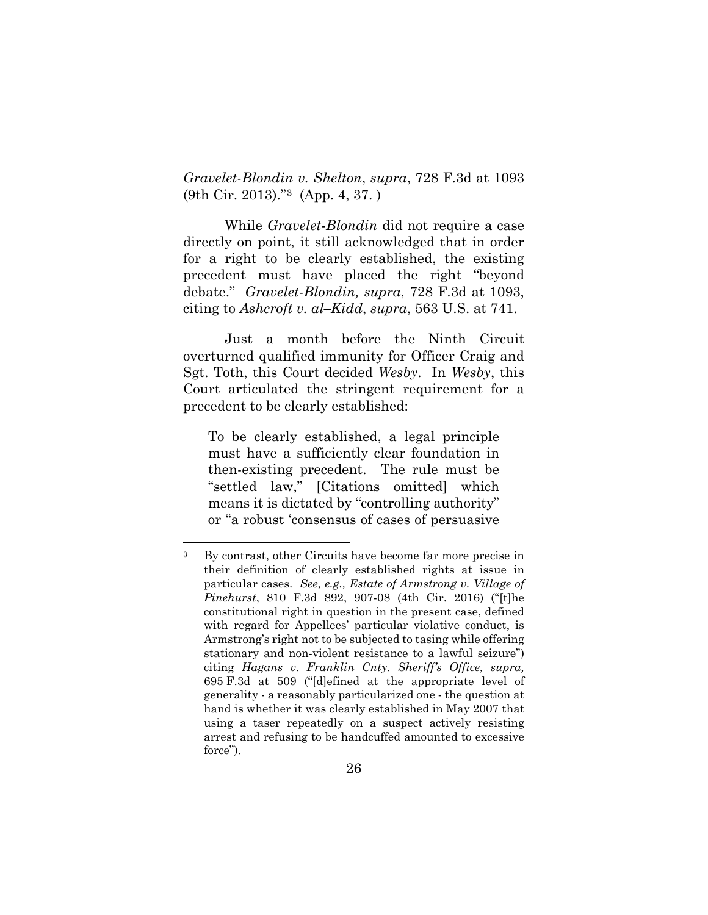*Gravelet-Blondin v. Shelton*, *supra*, 728 F.3d at 1093 (9th Cir. 2013)."[3](#page-35-0) (App. 4, 37. )

While *Gravelet-Blondin* did not require a case directly on point, it still acknowledged that in order for a right to be clearly established, the existing precedent must have placed the right "beyond debate." *Gravelet-Blondin, supra*, 728 F.3d at 1093, citing to *Ashcroft v. al–Kidd*, *supra*, 563 U.S. at 741.

Just a month before the Ninth Circuit overturned qualified immunity for Officer Craig and Sgt. Toth, this Court decided *Wesby*. In *Wesby*, this Court articulated the stringent requirement for a precedent to be clearly established:

To be clearly established, a legal principle must have a sufficiently clear foundation in then-existing precedent. The rule must be "settled law," [Citations omitted] which means it is dictated by "controlling authority" or "a robust 'consensus of cases of persuasive

<span id="page-35-0"></span> <sup>3</sup> By contrast, other Circuits have become far more precise in their definition of clearly established rights at issue in particular cases. *See, e.g., Estate of Armstrong v. Village of Pinehurst*, 810 F.3d 892, 907-08 (4th Cir. 2016) ("[t]he constitutional right in question in the present case, defined with regard for Appellees' particular violative conduct, is Armstrong's right not to be subjected to tasing while offering stationary and non-violent resistance to a lawful seizure") citing *[Hagans v. Franklin Cnty. Sheriff's Office, supra,](http://www.westlaw.com/Link/Document/FullText?findType=Y&serNum=2028469553&pubNum=0000506&originatingDoc=Ic64a590649c311e6b4bafa136b480ad2&refType=RP&fi=co_pp_sp_506_509&originationContext=document&vr=3.0&rs=cblt1.0&transitionType=DocumentItem&contextData=(sc.RelatedInfo)#co_pp_sp_506_509)* 695 [F.3d at 509](http://www.westlaw.com/Link/Document/FullText?findType=Y&serNum=2028469553&pubNum=0000506&originatingDoc=Ic64a590649c311e6b4bafa136b480ad2&refType=RP&fi=co_pp_sp_506_509&originationContext=document&vr=3.0&rs=cblt1.0&transitionType=DocumentItem&contextData=(sc.RelatedInfo)#co_pp_sp_506_509) ("[d]efined at the appropriate level of generality - a reasonably particularized one - the question at hand is whether it was clearly established in May 2007 that using a taser repeatedly on a suspect actively resisting arrest and refusing to be handcuffed amounted to excessive force").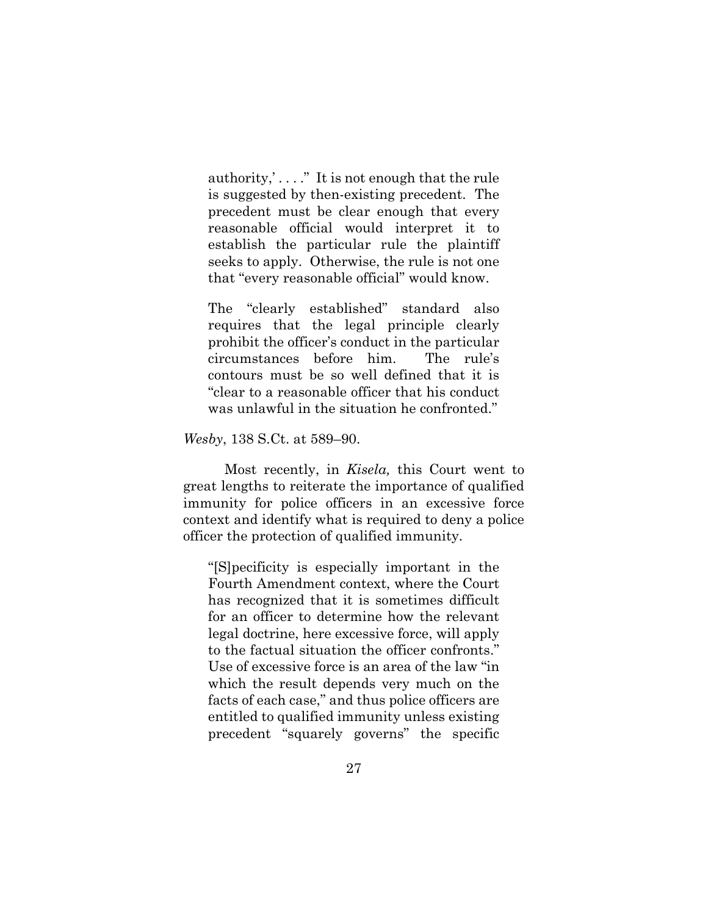authority,' . . . ." It is not enough that the rule is suggested by then-existing precedent. The precedent must be clear enough that every reasonable official would interpret it to establish the particular rule the plaintiff seeks to apply. Otherwise, the rule is not one that "every reasonable official" would know.

The "clearly established" standard also requires that the legal principle clearly prohibit the officer's conduct in the particular circumstances before him. The rule's contours must be so well defined that it is "clear to a reasonable officer that his conduct was unlawful in the situation he confronted."

*Wesby*, 138 S.Ct. at 589–90.

Most recently, in *Kisela,* this Court went to great lengths to reiterate the importance of qualified immunity for police officers in an excessive force context and identify what is required to deny a police officer the protection of qualified immunity.

"[S]pecificity is especially important in the Fourth Amendment context, where the Court has recognized that it is sometimes difficult for an officer to determine how the relevant legal doctrine, here excessive force, will apply to the factual situation the officer confronts." Use of excessive force is an area of the law "in which the result depends very much on the facts of each case," and thus police officers are entitled to qualified immunity unless existing precedent "squarely governs" the specific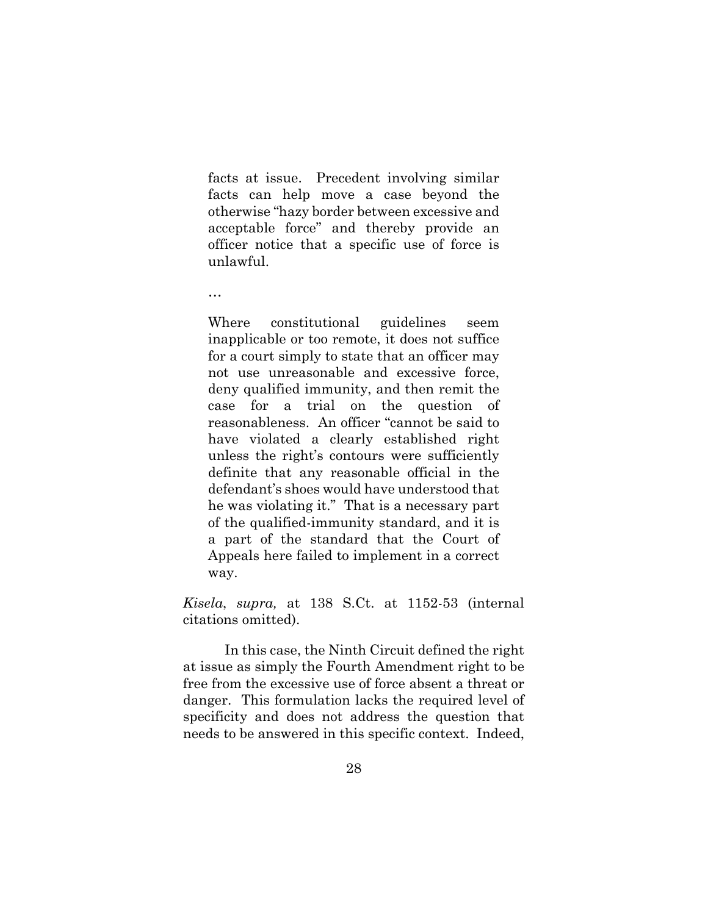facts at issue. Precedent involving similar facts can help move a case beyond the otherwise "hazy border between excessive and acceptable force" and thereby provide an officer notice that a specific use of force is unlawful.

…

Where constitutional guidelines seem inapplicable or too remote, it does not suffice for a court simply to state that an officer may not use unreasonable and excessive force, deny qualified immunity, and then remit the case for a trial on the question of reasonableness. An officer "cannot be said to have violated a clearly established right unless the right's contours were sufficiently definite that any reasonable official in the defendant's shoes would have understood that he was violating it." That is a necessary part of the qualified-immunity standard, and it is a part of the standard that the Court of Appeals here failed to implement in a correct way.

*Kisela*, *supra,* at 138 S.Ct. at 1152-53 (internal citations omitted).

In this case, the Ninth Circuit defined the right at issue as simply the Fourth Amendment right to be free from the excessive use of force absent a threat or danger. This formulation lacks the required level of specificity and does not address the question that needs to be answered in this specific context. Indeed,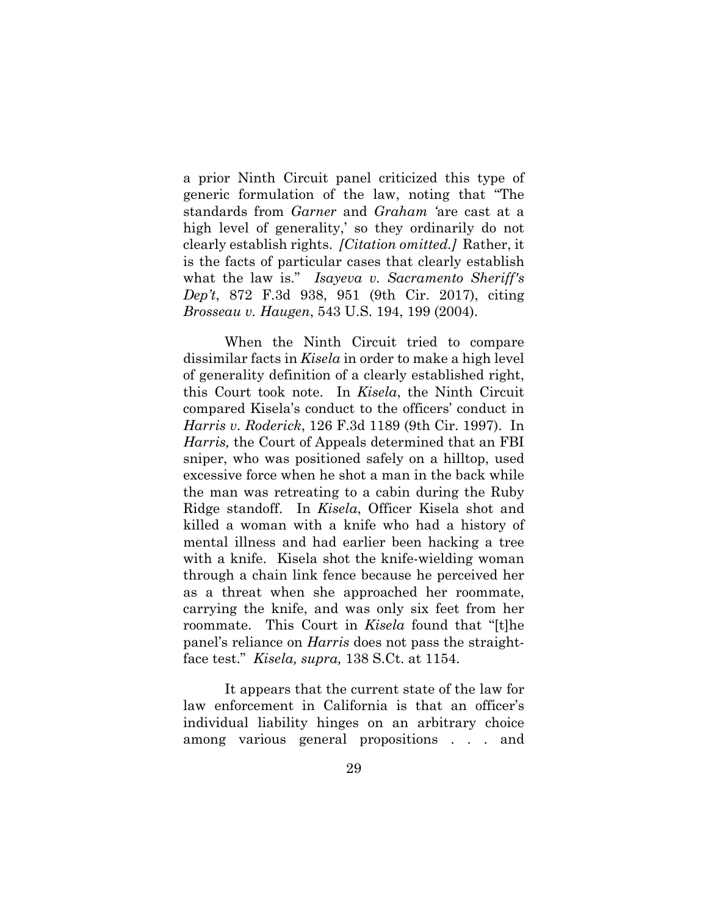a prior Ninth Circuit panel criticized this type of generic formulation of the law, noting that "The standards from *Garner* and *Graham '*are cast at a high level of generality,' so they ordinarily do not clearly establish rights. *[Citation omitted.]* Rather, it is the facts of particular cases that clearly establish what the law is." *Isayeva v. Sacramento Sheriff's Dep't*, 872 F.3d 938, 951 (9th Cir. 2017), citing *Brosseau v. Haugen*, 543 U.S. 194, 199 (2004).

When the Ninth Circuit tried to compare dissimilar facts in *Kisela* in order to make a high level of generality definition of a clearly established right, this Court took note. In *Kisela*, the Ninth Circuit compared Kisela's conduct to the officers' conduct in *Harris v. Roderick*, 126 F.3d 1189 (9th Cir. 1997). In *Harris,* the Court of Appeals determined that an FBI sniper, who was positioned safely on a hilltop, used excessive force when he shot a man in the back while the man was retreating to a cabin during the Ruby Ridge standoff. In *Kisela*, Officer Kisela shot and killed a woman with a knife who had a history of mental illness and had earlier been hacking a tree with a knife. Kisela shot the knife-wielding woman through a chain link fence because he perceived her as a threat when she approached her roommate, carrying the knife, and was only six feet from her roommate. This Court in *Kisela* found that "[t]he panel's reliance on *Harris* does not pass the straightface test." *Kisela, supra,* 138 S.Ct. at 1154.

It appears that the current state of the law for law enforcement in California is that an officer's individual liability hinges on an arbitrary choice among various general propositions . . . and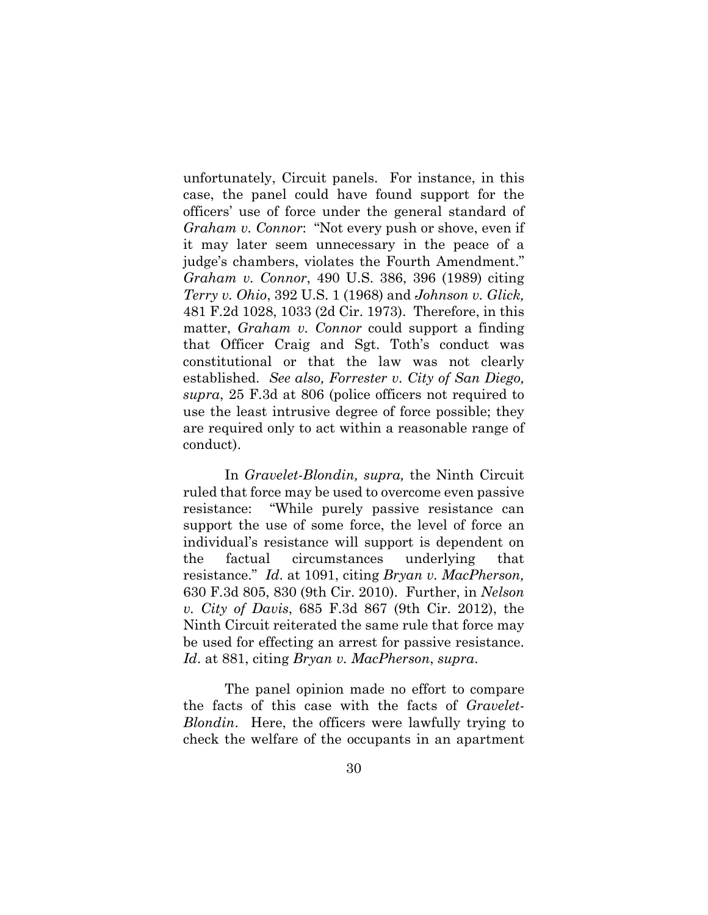unfortunately, Circuit panels. For instance, in this case, the panel could have found support for the officers' use of force under the general standard of *Graham v. Connor*: "Not every push or shove, even if it may later seem unnecessary in the peace of a judge's chambers, violates the Fourth Amendment." *Graham v. Connor*, 490 U.S. 386, 396 (1989) citing *Terry v. Ohio*, 392 U.S. 1 (1968) and *Johnson v. Glick,* 481 F.2d 1028, 1033 (2d Cir. 1973). Therefore, in this matter, *Graham v. Connor* could support a finding that Officer Craig and Sgt. Toth's conduct was constitutional or that the law was not clearly established. *See also, Forrester v. City of San Diego, supra*, 25 F.3d at 806 (police officers not required to use the least intrusive degree of force possible; they are required only to act within a reasonable range of conduct).

In *Gravelet-Blondin, supra,* the Ninth Circuit ruled that force may be used to overcome even passive resistance: "While purely passive resistance can support the use of some force, the level of force an individual's resistance will support is dependent on the factual circumstances underlying that resistance." *Id*. at 1091, citing *Bryan v. MacPherson,* 630 F.3d 805, 830 (9th Cir. 2010). Further, in *Nelson v. City of Davis*, 685 F.3d 867 (9th Cir. 2012), the Ninth Circuit reiterated the same rule that force may be used for effecting an arrest for passive resistance. *Id*. at 881, citing *Bryan v. MacPherson*, *supra*.

The panel opinion made no effort to compare the facts of this case with the facts of *Gravelet-Blondin*. Here, the officers were lawfully trying to check the welfare of the occupants in an apartment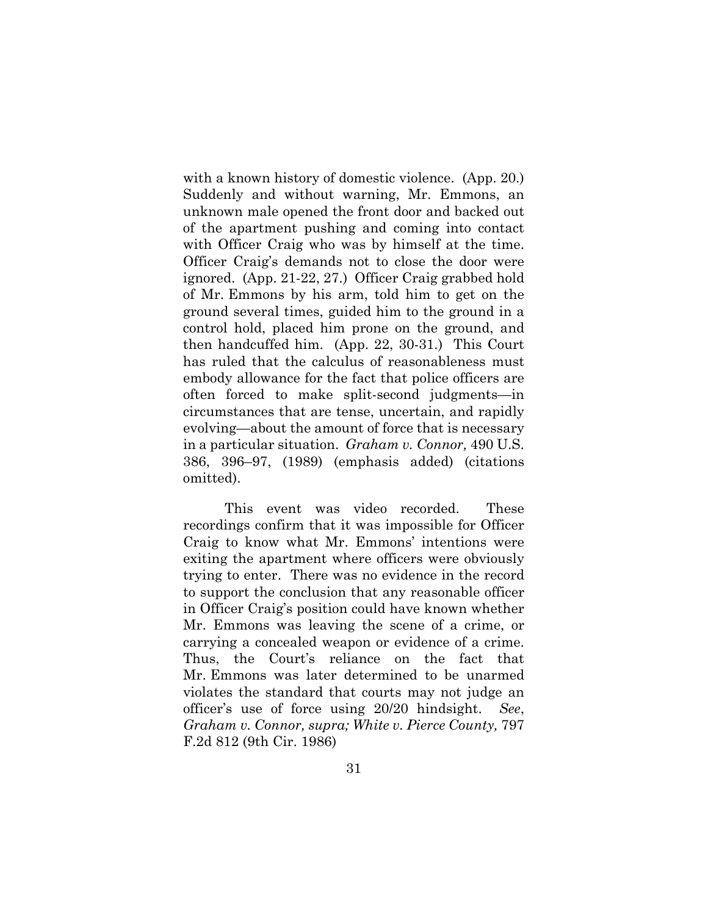with a known history of domestic violence. (App. 20.) Suddenly and without warning, Mr. Emmons, an unknown male opened the front door and backed out of the apartment pushing and coming into contact with Officer Craig who was by himself at the time. Officer Craig's demands not to close the door were ignored. (App. 21-22, 27.) Officer Craig grabbed hold of Mr. Emmons by his arm, told him to get on the ground several times, guided him to the ground in a control hold, placed him prone on the ground, and then handcuffed him. (App. 22, 30-31.) This Court has ruled that the calculus of reasonableness must embody allowance for the fact that police officers are often forced to make split-second judgments—in circumstances that are tense, uncertain, and rapidly evolving—about the amount of force that is necessary in a particular situation. *Graham v. Connor,* 490 U.S. 386, 396–97, (1989) (emphasis added) (citations omitted).

This event was video recorded. These recordings confirm that it was impossible for Officer Craig to know what Mr. Emmons' intentions were exiting the apartment where officers were obviously trying to enter. There was no evidence in the record to support the conclusion that any reasonable officer in Officer Craig's position could have known whether Mr. Emmons was leaving the scene of a crime, or carrying a concealed weapon or evidence of a crime. Thus, the Court's reliance on the fact that Mr. Emmons was later determined to be unarmed violates the standard that courts may not judge an officer's use of force using 20/20 hindsight. *See*, *Graham v. Connor, supra; White v. Pierce County,* 797 F.2d 812 (9th Cir. 1986)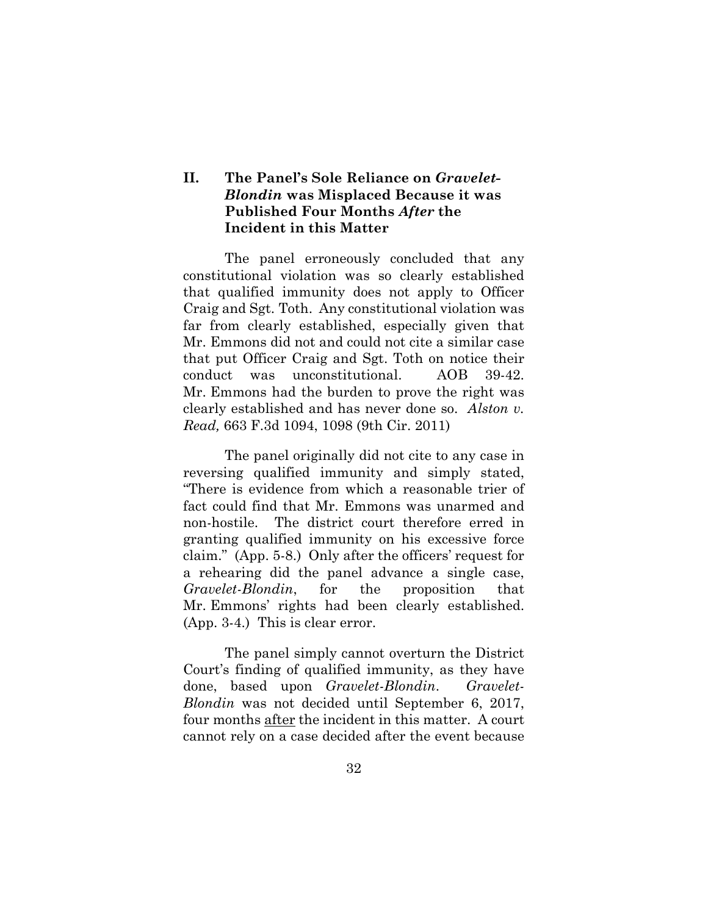## **II. The Panel's Sole Reliance on** *Gravelet-Blondin* **was Misplaced Because it was Published Four Months** *After* **the Incident in this Matter**

The panel erroneously concluded that any constitutional violation was so clearly established that qualified immunity does not apply to Officer Craig and Sgt. Toth. Any constitutional violation was far from clearly established, especially given that Mr. Emmons did not and could not cite a similar case that put Officer Craig and Sgt. Toth on notice their conduct was unconstitutional. AOB 39-42. Mr. Emmons had the burden to prove the right was clearly established and has never done so. *Alston v. Read,* 663 F.3d 1094, 1098 (9th Cir. 2011)

The panel originally did not cite to any case in reversing qualified immunity and simply stated, "There is evidence from which a reasonable trier of fact could find that Mr. Emmons was unarmed and non-hostile. The district court therefore erred in granting qualified immunity on his excessive force claim." (App. 5-8.) Only after the officers' request for a rehearing did the panel advance a single case, *Gravelet-Blondin*, for the proposition that Mr. Emmons' rights had been clearly established. (App. 3-4.) This is clear error.

The panel simply cannot overturn the District Court's finding of qualified immunity, as they have done, based upon *Gravelet-Blondin*. *Gravelet-Blondin* was not decided until September 6, 2017, four months after the incident in this matter. A court cannot rely on a case decided after the event because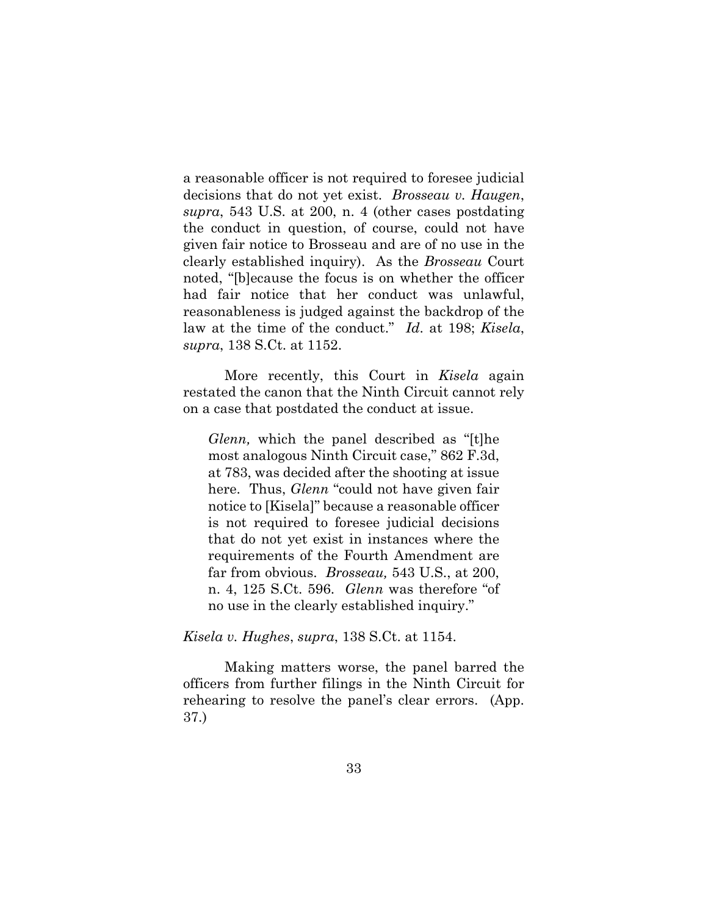a reasonable officer is not required to foresee judicial decisions that do not yet exist. *Brosseau v. Haugen*, *supra*, 543 U.S. at 200, n. 4 (other cases postdating the conduct in question, of course, could not have given fair notice to Brosseau and are of no use in the clearly established inquiry). As the *Brosseau* Court noted, "[b]ecause the focus is on whether the officer had fair notice that her conduct was unlawful, reasonableness is judged against the backdrop of the law at the time of the conduct." *Id*. at 198; *Kisela*, *supra*, 138 S.Ct. at 1152.

More recently, this Court in *Kisela* again restated the canon that the Ninth Circuit cannot rely on a case that postdated the conduct at issue.

*Glenn,* which the panel described as "[t]he most analogous Ninth Circuit case," 862 F.3d, at 783, was decided after the shooting at issue here. Thus, *Glenn* "could not have given fair notice to [Kisela]" because a reasonable officer is not required to foresee judicial decisions that do not yet exist in instances where the requirements of the Fourth Amendment are far from obvious. *Brosseau,* 543 U.S., at 200, n. 4, 125 S.Ct. 596. *Glenn* was therefore "of no use in the clearly established inquiry."

*Kisela v. Hughes*, *supra*, 138 S.Ct. at 1154.

Making matters worse, the panel barred the officers from further filings in the Ninth Circuit for rehearing to resolve the panel's clear errors. (App. 37.)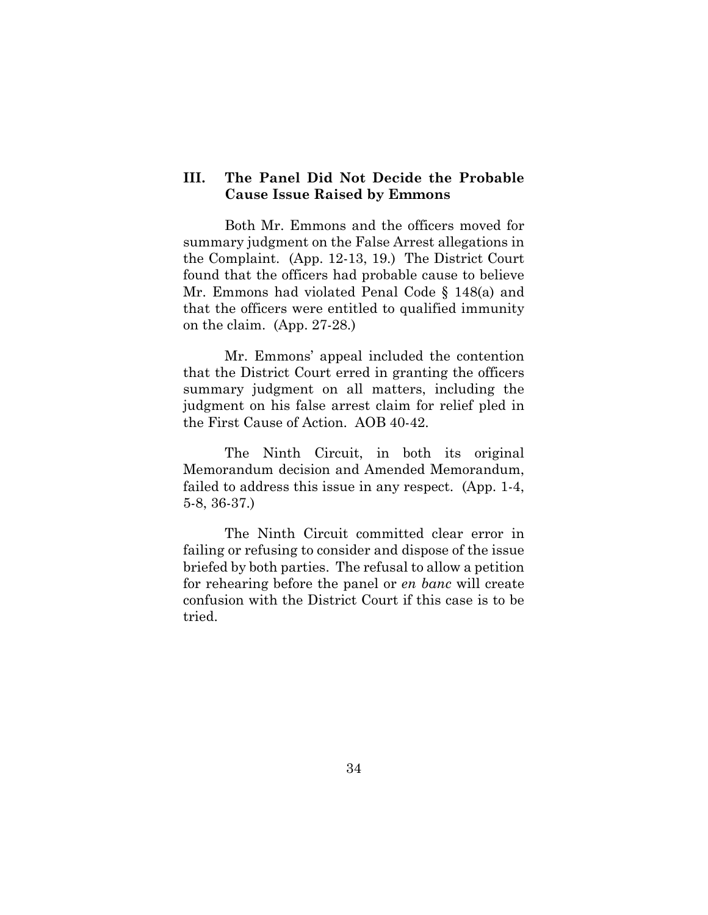## **III. The Panel Did Not Decide the Probable Cause Issue Raised by Emmons**

Both Mr. Emmons and the officers moved for summary judgment on the False Arrest allegations in the Complaint. (App. 12-13, 19.) The District Court found that the officers had probable cause to believe Mr. Emmons had violated Penal Code § 148(a) and that the officers were entitled to qualified immunity on the claim. (App. 27-28.)

Mr. Emmons' appeal included the contention that the District Court erred in granting the officers summary judgment on all matters, including the judgment on his false arrest claim for relief pled in the First Cause of Action. AOB 40-42.

The Ninth Circuit, in both its original Memorandum decision and Amended Memorandum, failed to address this issue in any respect. (App. 1-4, 5-8, 36-37.)

The Ninth Circuit committed clear error in failing or refusing to consider and dispose of the issue briefed by both parties. The refusal to allow a petition for rehearing before the panel or *en banc* will create confusion with the District Court if this case is to be tried.